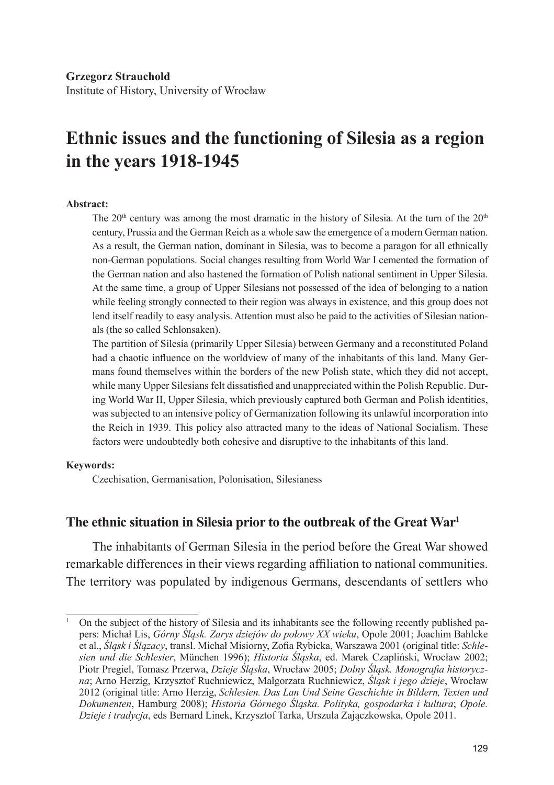Institute of History, University of Wrocław

# **Ethnic issues and the functioning of Silesia as a region in the years 1918-1945**

#### **Abstract:**

The 20<sup>th</sup> century was among the most dramatic in the history of Silesia. At the turn of the  $20<sup>th</sup>$ century, Prussia and the German Reich as a whole saw the emergence of a modern German nation. As a result, the German nation, dominant in Silesia, was to become a paragon for all ethnically non-German populations. Social changes resulting from World War I cemented the formation of the German nation and also hastened the formation of Polish national sentiment in Upper Silesia. At the same time, a group of Upper Silesians not possessed of the idea of belonging to a nation while feeling strongly connected to their region was always in existence, and this group does not lend itself readily to easy analysis. Attention must also be paid to the activities of Silesian nationals (the so called Schlonsaken).

The partition of Silesia (primarily Upper Silesia) between Germany and a reconstituted Poland had a chaotic influence on the worldview of many of the inhabitants of this land. Many Germans found themselves within the borders of the new Polish state, which they did not accept, while many Upper Silesians felt dissatisfied and unappreciated within the Polish Republic. During World War II, Upper Silesia, which previously captured both German and Polish identities, was subjected to an intensive policy of Germanization following its unlawful incorporation into the Reich in 1939. This policy also attracted many to the ideas of National Socialism. These factors were undoubtedly both cohesive and disruptive to the inhabitants of this land.

#### **Keywords:**

Czechisation, Germanisation, Polonisation, Silesianess

### **The ethnic situation in Silesia prior to the outbreak of the Great War1**

The inhabitants of German Silesia in the period before the Great War showed remarkable differences in their views regarding affiliation to national communities. The territory was populated by indigenous Germans, descendants of settlers who

<sup>1</sup> On the subject of the history of Silesia and its inhabitants see the following recently published papers: Michał Lis, *Górny Śląsk. Zarys dziejów do połowy XX wieku*, Opole 2001; Joachim Bahlcke et al., *Śląsk i Ślązacy*, transl. Michał Misiorny, Zofia Rybicka, Warszawa 2001 (original title: *Schlesien und die Schlesier*, München 1996); *Historia Śląska*, ed. Marek Czapliński, Wrocław 2002; Piotr Pregiel, Tomasz Przerwa, *Dzieje Śląska*, Wrocław 2005; *Dolny Śląsk. Monografia historyczna*; Arno Herzig, Krzysztof Ruchniewicz, Małgorzata Ruchniewicz, *Śląsk i jego dzieje*, Wrocław 2012 (original title: Arno Herzig, *Schlesien. Das Lan Und Seine Geschichte in Bildern, Texten und Dokumenten*, Hamburg 2008); *Historia Górnego Śląska. Polityka, gospodarka i kultura*; *Opole. Dzieje i tradycja*, eds Bernard Linek, Krzysztof Tarka, Urszula Zajączkowska, Opole 2011.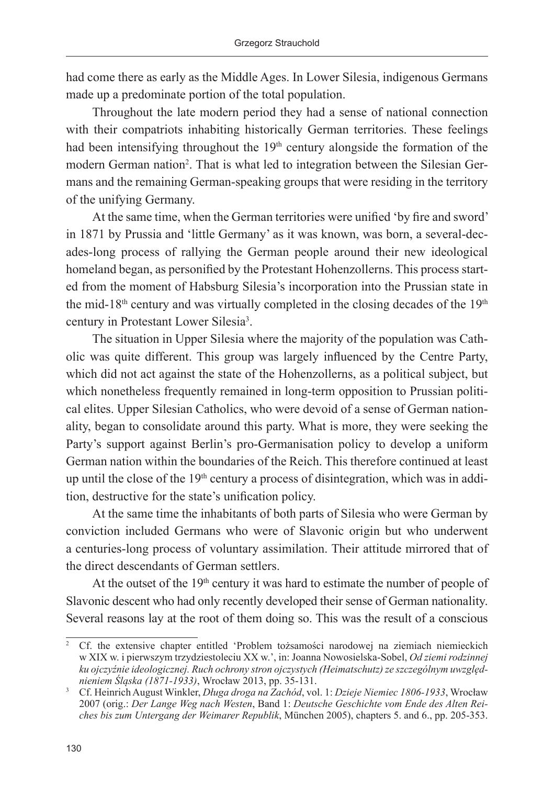had come there as early as the Middle Ages. In Lower Silesia, indigenous Germans made up a predominate portion of the total population.

Throughout the late modern period they had a sense of national connection with their compatriots inhabiting historically German territories. These feelings had been intensifying throughout the  $19<sup>th</sup>$  century alongside the formation of the modern German nation<sup>2</sup>. That is what led to integration between the Silesian Germans and the remaining German-speaking groups that were residing in the territory of the unifying Germany.

At the same time, when the German territories were unified 'by fire and sword' in 1871 by Prussia and 'little Germany' as it was known, was born, a several-decades-long process of rallying the German people around their new ideological homeland began, as personified by the Protestant Hohenzollerns. This process started from the moment of Habsburg Silesia's incorporation into the Prussian state in the mid-18<sup>th</sup> century and was virtually completed in the closing decades of the  $19<sup>th</sup>$ century in Protestant Lower Silesia<sup>3</sup>.

The situation in Upper Silesia where the majority of the population was Catholic was quite different. This group was largely influenced by the Centre Party, which did not act against the state of the Hohenzollerns, as a political subject, but which nonetheless frequently remained in long-term opposition to Prussian political elites. Upper Silesian Catholics, who were devoid of a sense of German nationality, began to consolidate around this party. What is more, they were seeking the Party's support against Berlin's pro-Germanisation policy to develop a uniform German nation within the boundaries of the Reich. This therefore continued at least up until the close of the 19<sup>th</sup> century a process of disintegration, which was in addition, destructive for the state's unification policy.

At the same time the inhabitants of both parts of Silesia who were German by conviction included Germans who were of Slavonic origin but who underwent a centuries-long process of voluntary assimilation. Their attitude mirrored that of the direct descendants of German settlers.

At the outset of the  $19<sup>th</sup>$  century it was hard to estimate the number of people of Slavonic descent who had only recently developed their sense of German nationality. Several reasons lay at the root of them doing so. This was the result of a conscious

<sup>2</sup> Cf. the extensive chapter entitled 'Problem tożsamości narodowej na ziemiach niemieckich w XIX w. i pierwszym trzydziestoleciu XX w.', in: Joanna Nowosielska-Sobel, *Od ziemi rodzinnej ku ojczyźnie ideologicznej. Ruch ochrony stron ojczystych (Heimatschutz) ze szczególnym uwzględnieniem Śląska (1871-1933)*, Wrocław 2013, pp. 35-131.

<sup>3</sup> Cf. Heinrich August Winkler, *Długa droga na Zachód*, vol. 1: *Dzieje Niemiec 1806-1933*, Wrocław 2007 (orig.: *Der Lange Weg nach Westen*, Band 1: *Deutsche Geschichte vom Ende des Alten Reiches bis zum Untergang der Weimarer Republik*, München 2005), chapters 5. and 6., pp. 205-353.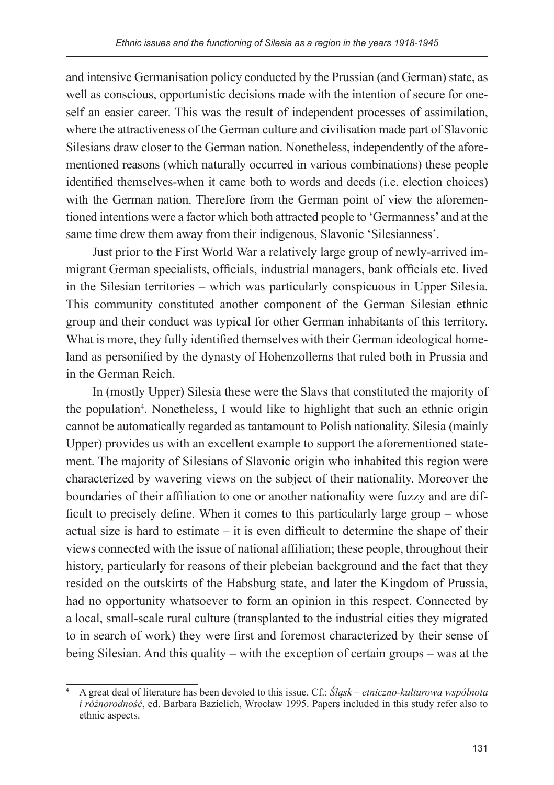and intensive Germanisation policy conducted by the Prussian (and German) state, as well as conscious, opportunistic decisions made with the intention of secure for oneself an easier career. This was the result of independent processes of assimilation, where the attractiveness of the German culture and civilisation made part of Slavonic Silesians draw closer to the German nation. Nonetheless, independently of the aforementioned reasons (which naturally occurred in various combinations) these people identified themselves-when it came both to words and deeds (i.e. election choices) with the German nation. Therefore from the German point of view the aforementioned intentions were a factor which both attracted people to 'Germanness' and at the same time drew them away from their indigenous, Slavonic 'Silesianness'.

Just prior to the First World War a relatively large group of newly-arrived immigrant German specialists, officials, industrial managers, bank officials etc. lived in the Silesian territories – which was particularly conspicuous in Upper Silesia. This community constituted another component of the German Silesian ethnic group and their conduct was typical for other German inhabitants of this territory. What is more, they fully identified themselves with their German ideological homeland as personified by the dynasty of Hohenzollerns that ruled both in Prussia and in the German Reich.

In (mostly Upper) Silesia these were the Slavs that constituted the majority of the population<sup>4</sup>. Nonetheless, I would like to highlight that such an ethnic origin cannot be automatically regarded as tantamount to Polish nationality. Silesia (mainly Upper) provides us with an excellent example to support the aforementioned statement. The majority of Silesians of Slavonic origin who inhabited this region were characterized by wavering views on the subject of their nationality. Moreover the boundaries of their affiliation to one or another nationality were fuzzy and are difficult to precisely define. When it comes to this particularly large group – whose actual size is hard to estimate – it is even difficult to determine the shape of their views connected with the issue of national affiliation; these people, throughout their history, particularly for reasons of their plebeian background and the fact that they resided on the outskirts of the Habsburg state, and later the Kingdom of Prussia, had no opportunity whatsoever to form an opinion in this respect. Connected by a local, small-scale rural culture (transplanted to the industrial cities they migrated to in search of work) they were first and foremost characterized by their sense of being Silesian. And this quality – with the exception of certain groups – was at the

<sup>4</sup> A great deal of literature has been devoted to this issue. Cf.: *Śląsk – etniczno-kulturowa wspólnota i różnorodność*, ed. Barbara Bazielich, Wrocław 1995. Papers included in this study refer also to ethnic aspects.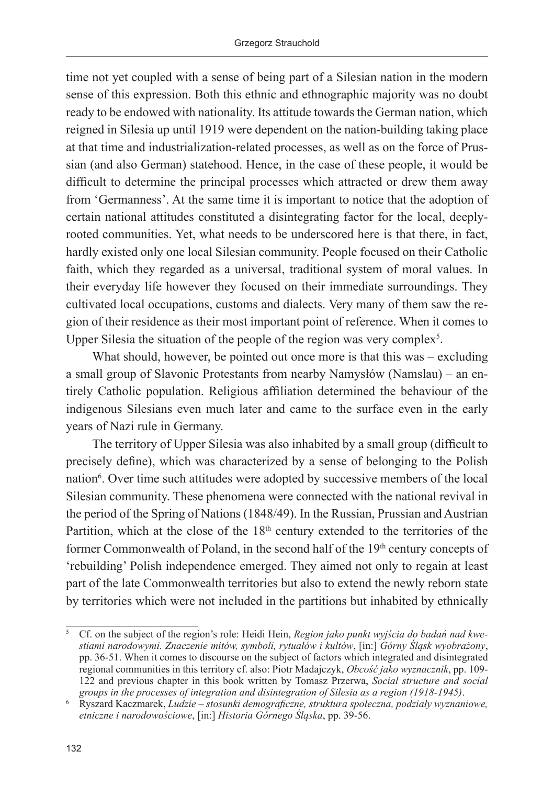time not yet coupled with a sense of being part of a Silesian nation in the modern sense of this expression. Both this ethnic and ethnographic majority was no doubt ready to be endowed with nationality. Its attitude towards the German nation, which reigned in Silesia up until 1919 were dependent on the nation-building taking place at that time and industrialization-related processes, as well as on the force of Prussian (and also German) statehood. Hence, in the case of these people, it would be difficult to determine the principal processes which attracted or drew them away from 'Germanness'. At the same time it is important to notice that the adoption of certain national attitudes constituted a disintegrating factor for the local, deeplyrooted communities. Yet, what needs to be underscored here is that there, in fact, hardly existed only one local Silesian community. People focused on their Catholic faith, which they regarded as a universal, traditional system of moral values. In their everyday life however they focused on their immediate surroundings. They cultivated local occupations, customs and dialects. Very many of them saw the region of their residence as their most important point of reference. When it comes to Upper Silesia the situation of the people of the region was very complex<sup>5</sup>.

What should, however, be pointed out once more is that this was – excluding a small group of Slavonic Protestants from nearby Namysłów (Namslau) – an entirely Catholic population. Religious affiliation determined the behaviour of the indigenous Silesians even much later and came to the surface even in the early years of Nazi rule in Germany.

The territory of Upper Silesia was also inhabited by a small group (difficult to precisely define), which was characterized by a sense of belonging to the Polish nation<sup>6</sup>. Over time such attitudes were adopted by successive members of the local Silesian community. These phenomena were connected with the national revival in the period of the Spring of Nations (1848/49). In the Russian, Prussian and Austrian Partition, which at the close of the 18<sup>th</sup> century extended to the territories of the former Commonwealth of Poland, in the second half of the 19<sup>th</sup> century concepts of 'rebuilding' Polish independence emerged. They aimed not only to regain at least part of the late Commonwealth territories but also to extend the newly reborn state by territories which were not included in the partitions but inhabited by ethnically

<sup>5</sup> Cf. on the subject of the region's role: Heidi Hein, *Region jako punkt wyjścia do badań nad kwestiami narodowymi. Znaczenie mitów, symboli, rytuałów i kultów*, [in:] *Górny Śląsk wyobrażony*, pp. 36-51. When it comes to discourse on the subject of factors which integrated and disintegrated regional communities in this territory cf. also: Piotr Madajczyk, *Obcość jako wyznacznik*, pp. 109- 122 and previous chapter in this book written by Tomasz Przerwa, *Social structure and social groups in the processes of integration and disintegration of Silesia as a region (1918-1945)*.

<sup>6</sup> Ryszard Kaczmarek, *Ludzie – stosunki demograficzne, struktura społeczna, podziały wyznaniowe, etniczne i narodowościowe*, [in:] *Historia Górnego Śląska*, pp. 39-56.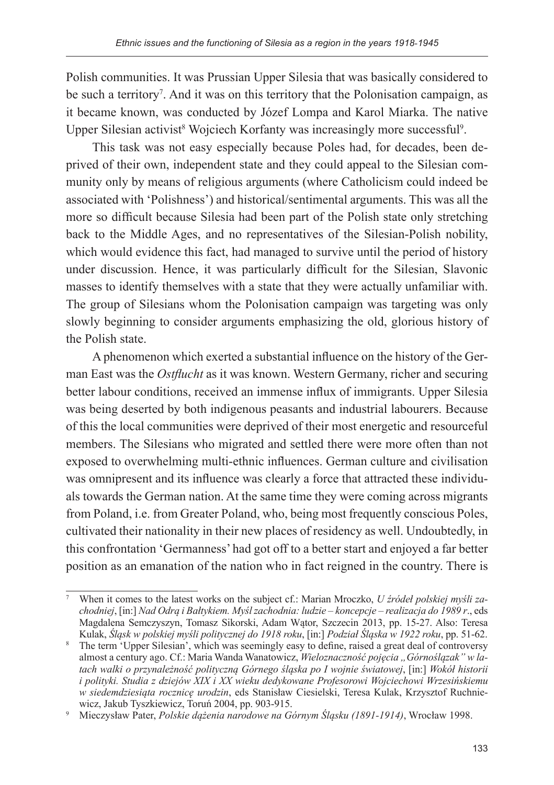Polish communities. It was Prussian Upper Silesia that was basically considered to be such a territory<sup>7</sup>. And it was on this territory that the Polonisation campaign, as it became known, was conducted by Józef Lompa and Karol Miarka. The native Upper Silesian activist<sup>8</sup> Wojciech Korfanty was increasingly more successful<sup>9</sup>.

This task was not easy especially because Poles had, for decades, been deprived of their own, independent state and they could appeal to the Silesian community only by means of religious arguments (where Catholicism could indeed be associated with 'Polishness') and historical/sentimental arguments. This was all the more so difficult because Silesia had been part of the Polish state only stretching back to the Middle Ages, and no representatives of the Silesian-Polish nobility, which would evidence this fact, had managed to survive until the period of history under discussion. Hence, it was particularly difficult for the Silesian, Slavonic masses to identify themselves with a state that they were actually unfamiliar with. The group of Silesians whom the Polonisation campaign was targeting was only slowly beginning to consider arguments emphasizing the old, glorious history of the Polish state.

A phenomenon which exerted a substantial influence on the history of the German East was the *Ostflucht* as it was known. Western Germany, richer and securing better labour conditions, received an immense influx of immigrants. Upper Silesia was being deserted by both indigenous peasants and industrial labourers. Because of this the local communities were deprived of their most energetic and resourceful members. The Silesians who migrated and settled there were more often than not exposed to overwhelming multi-ethnic influences. German culture and civilisation was omnipresent and its influence was clearly a force that attracted these individuals towards the German nation. At the same time they were coming across migrants from Poland, i.e. from Greater Poland, who, being most frequently conscious Poles, cultivated their nationality in their new places of residency as well. Undoubtedly, in this confrontation 'Germanness' had got off to a better start and enjoyed a far better position as an emanation of the nation who in fact reigned in the country. There is

When it comes to the latest works on the subject cf.: Marian Mroczko, *U źródeł polskiej myśli zachodniej*, [in:] *Nad Odrą i Bałtykiem. Myśl zachodnia: ludzie – koncepcje – realizacja do 1989 r*., eds Magdalena Semczyszyn, Tomasz Sikorski, Adam Wątor, Szczecin 2013, pp. 15-27. Also: Teresa Kulak, *Śląsk w polskiej myśli politycznej do 1918 roku*, [in:] *Podział Śląska w 1922 roku*, pp. 51-62.

The term 'Upper Silesian', which was seemingly easy to define, raised a great deal of controversy almost a century ago. Cf.: Maria Wanda Wanatowicz, *Wieloznaczność pojęcia "Górnoślązak" w latach walki o przynależność polityczną Górnego śląska po I wojnie światowej*, [in:] *Wokół historii i polityki. Studia z dziejów XIX i XX wieku dedykowane Profesorowi Wojciechowi Wrzesińskiemu w siedemdziesiąta rocznicę urodzin*, eds Stanisław Ciesielski, Teresa Kulak, Krzysztof Ruchniewicz, Jakub Tyszkiewicz, Toruń 2004, pp. 903-915.

<sup>9</sup> Mieczysław Pater, *Polskie dążenia narodowe na Górnym Śląsku (1891-1914)*, Wrocław 1998.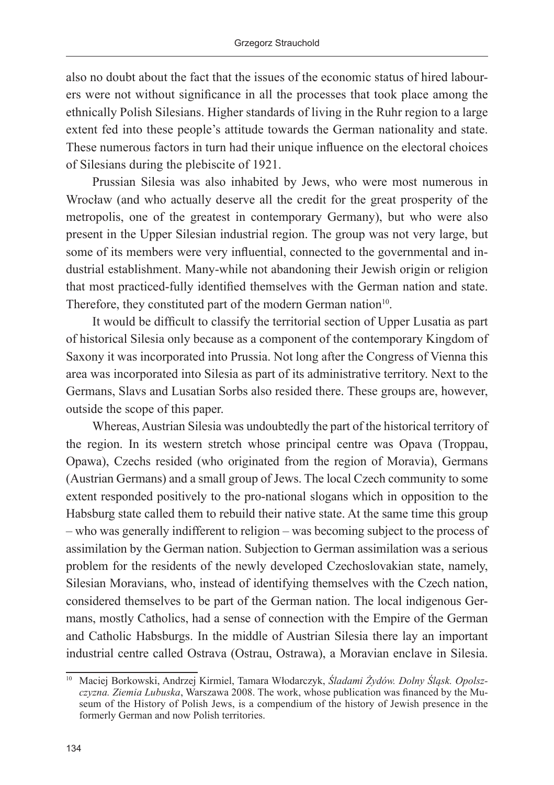also no doubt about the fact that the issues of the economic status of hired labourers were not without significance in all the processes that took place among the ethnically Polish Silesians. Higher standards of living in the Ruhr region to a large extent fed into these people's attitude towards the German nationality and state. These numerous factors in turn had their unique influence on the electoral choices of Silesians during the plebiscite of 1921.

Prussian Silesia was also inhabited by Jews, who were most numerous in Wrocław (and who actually deserve all the credit for the great prosperity of the metropolis, one of the greatest in contemporary Germany), but who were also present in the Upper Silesian industrial region. The group was not very large, but some of its members were very influential, connected to the governmental and industrial establishment. Many-while not abandoning their Jewish origin or religion that most practiced-fully identified themselves with the German nation and state. Therefore, they constituted part of the modern German nation<sup>10</sup>.

It would be difficult to classify the territorial section of Upper Lusatia as part of historical Silesia only because as a component of the contemporary Kingdom of Saxony it was incorporated into Prussia. Not long after the Congress of Vienna this area was incorporated into Silesia as part of its administrative territory. Next to the Germans, Slavs and Lusatian Sorbs also resided there. These groups are, however, outside the scope of this paper.

Whereas, Austrian Silesia was undoubtedly the part of the historical territory of the region. In its western stretch whose principal centre was Opava (Troppau, Opawa), Czechs resided (who originated from the region of Moravia), Germans (Austrian Germans) and a small group of Jews. The local Czech community to some extent responded positively to the pro-national slogans which in opposition to the Habsburg state called them to rebuild their native state. At the same time this group – who was generally indifferent to religion – was becoming subject to the process of assimilation by the German nation. Subjection to German assimilation was a serious problem for the residents of the newly developed Czechoslovakian state, namely, Silesian Moravians, who, instead of identifying themselves with the Czech nation, considered themselves to be part of the German nation. The local indigenous Germans, mostly Catholics, had a sense of connection with the Empire of the German and Catholic Habsburgs. In the middle of Austrian Silesia there lay an important industrial centre called Ostrava (Ostrau, Ostrawa), a Moravian enclave in Silesia.

<sup>10</sup> Maciej Borkowski, Andrzej Kirmiel, Tamara Włodarczyk, *Śladami Żydów. Dolny Śląsk. Opolszczyzna. Ziemia Lubuska*, Warszawa 2008. The work, whose publication was financed by the Museum of the History of Polish Jews, is a compendium of the history of Jewish presence in the formerly German and now Polish territories.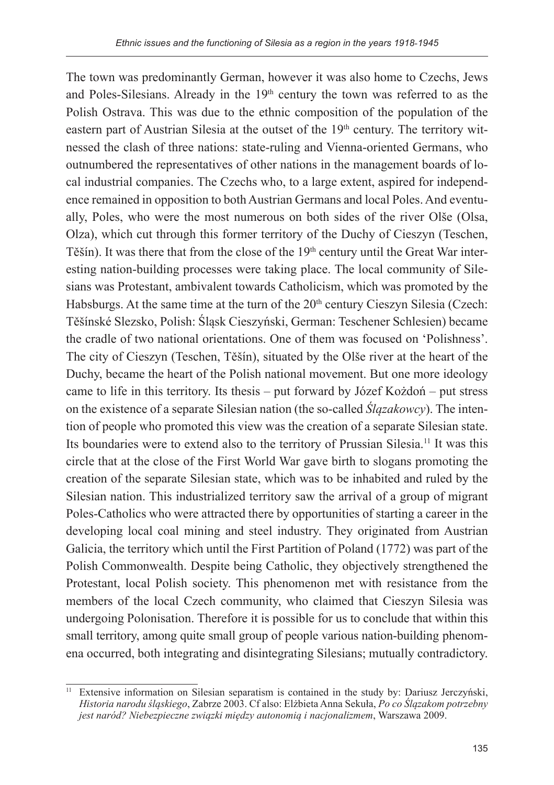The town was predominantly German, however it was also home to Czechs, Jews and Poles-Silesians. Already in the  $19<sup>th</sup>$  century the town was referred to as the Polish Ostrava. This was due to the ethnic composition of the population of the eastern part of Austrian Silesia at the outset of the 19<sup>th</sup> century. The territory witnessed the clash of three nations: state-ruling and Vienna-oriented Germans, who outnumbered the representatives of other nations in the management boards of local industrial companies. The Czechs who, to a large extent, aspired for independence remained in opposition to both Austrian Germans and local Poles. And eventually, Poles, who were the most numerous on both sides of the river Olše (Olsa, Olza), which cut through this former territory of the Duchy of Cieszyn (Teschen, Těšín). It was there that from the close of the 19<sup>th</sup> century until the Great War interesting nation-building processes were taking place. The local community of Silesians was Protestant, ambivalent towards Catholicism, which was promoted by the Habsburgs. At the same time at the turn of the  $20<sup>th</sup>$  century Cieszyn Silesia (Czech: Těšínské Slezsko, Polish: Śląsk Cieszyński, German: Teschener Schlesien) became the cradle of two national orientations. One of them was focused on 'Polishness'. The city of Cieszyn (Teschen, Těšín), situated by the Olše river at the heart of the Duchy, became the heart of the Polish national movement. But one more ideology came to life in this territory. Its thesis – put forward by Józef Kożdoń – put stress on the existence of a separate Silesian nation (the so-called *Ślązakowcy*). The intention of people who promoted this view was the creation of a separate Silesian state. Its boundaries were to extend also to the territory of Prussian Silesia.11 It was this circle that at the close of the First World War gave birth to slogans promoting the creation of the separate Silesian state, which was to be inhabited and ruled by the Silesian nation. This industrialized territory saw the arrival of a group of migrant Poles-Catholics who were attracted there by opportunities of starting a career in the developing local coal mining and steel industry. They originated from Austrian Galicia, the territory which until the First Partition of Poland (1772) was part of the Polish Commonwealth. Despite being Catholic, they objectively strengthened the Protestant, local Polish society. This phenomenon met with resistance from the members of the local Czech community, who claimed that Cieszyn Silesia was undergoing Polonisation. Therefore it is possible for us to conclude that within this small territory, among quite small group of people various nation-building phenomena occurred, both integrating and disintegrating Silesians; mutually contradictory.

<sup>11</sup> Extensive information on Silesian separatism is contained in the study by: Dariusz Jerczyński, *Historia narodu śląskiego*, Zabrze 2003. Cf also: Elżbieta Anna Sekuła, *Po co Ślązakom potrzebny jest naród? Niebezpieczne związki między autonomią i nacjonalizmem*, Warszawa 2009.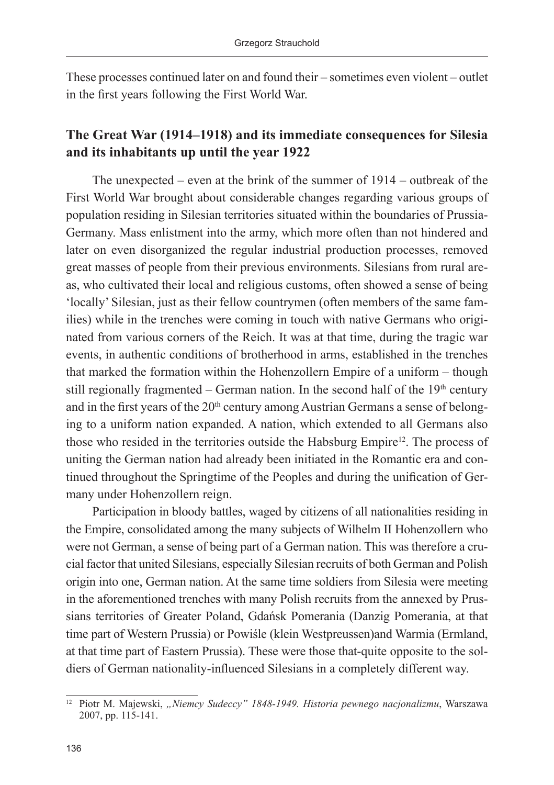These processes continued later on and found their – sometimes even violent – outlet in the first years following the First World War.

# **The Great War (1914–1918) and its immediate consequences for Silesia and its inhabitants up until the year 1922**

The unexpected – even at the brink of the summer of 1914 – outbreak of the First World War brought about considerable changes regarding various groups of population residing in Silesian territories situated within the boundaries of Prussia-Germany. Mass enlistment into the army, which more often than not hindered and later on even disorganized the regular industrial production processes, removed great masses of people from their previous environments. Silesians from rural areas, who cultivated their local and religious customs, often showed a sense of being 'locally' Silesian, just as their fellow countrymen (often members of the same families) while in the trenches were coming in touch with native Germans who originated from various corners of the Reich. It was at that time, during the tragic war events, in authentic conditions of brotherhood in arms, established in the trenches that marked the formation within the Hohenzollern Empire of a uniform – though still regionally fragmented – German nation. In the second half of the  $19<sup>th</sup>$  century and in the first years of the 20<sup>th</sup> century among Austrian Germans a sense of belonging to a uniform nation expanded. A nation, which extended to all Germans also those who resided in the territories outside the Habsburg Empire<sup>12</sup>. The process of uniting the German nation had already been initiated in the Romantic era and continued throughout the Springtime of the Peoples and during the unification of Germany under Hohenzollern reign.

Participation in bloody battles, waged by citizens of all nationalities residing in the Empire, consolidated among the many subjects of Wilhelm II Hohenzollern who were not German, a sense of being part of a German nation. This was therefore a crucial factor that united Silesians, especially Silesian recruits of both German and Polish origin into one, German nation. At the same time soldiers from Silesia were meeting in the aforementioned trenches with many Polish recruits from the annexed by Prussians territories of Greater Poland, Gdańsk Pomerania (Danzig Pomerania, at that time part of Western Prussia) or Powiśle (klein Westpreussen)and Warmia (Ermland, at that time part of Eastern Prussia). These were those that-quite opposite to the soldiers of German nationality-influenced Silesians in a completely different way.

<sup>&</sup>lt;sup>12</sup> Piotr M. Majewski, "Niemcy Sudeccy" 1848-1949. Historia pewnego nacjonalizmu, Warszawa 2007, pp. 115-141.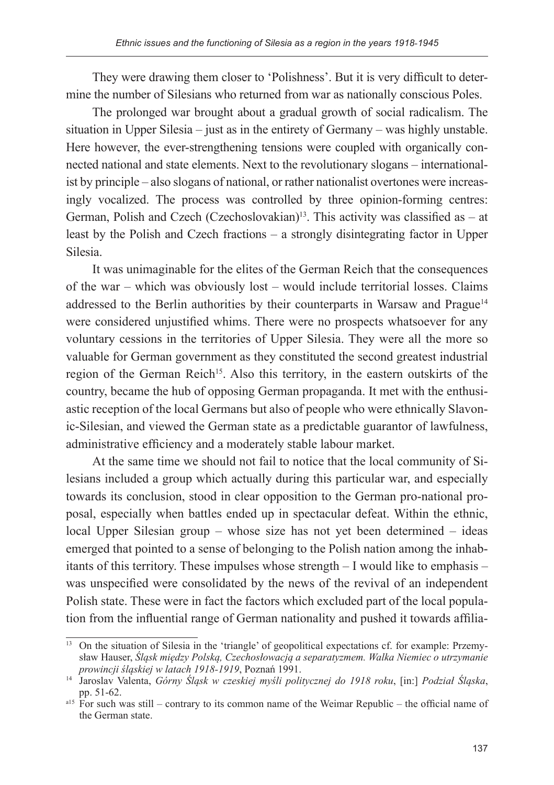They were drawing them closer to 'Polishness'. But it is very difficult to determine the number of Silesians who returned from war as nationally conscious Poles.

The prolonged war brought about a gradual growth of social radicalism. The situation in Upper Silesia – just as in the entirety of Germany – was highly unstable. Here however, the ever-strengthening tensions were coupled with organically connected national and state elements. Next to the revolutionary slogans – internationalist by principle – also slogans of national, or rather nationalist overtones were increasingly vocalized. The process was controlled by three opinion-forming centres: German, Polish and Czech (Czechoslovakian)<sup>13</sup>. This activity was classified as  $-$  at least by the Polish and Czech fractions – a strongly disintegrating factor in Upper Silesia.

It was unimaginable for the elites of the German Reich that the consequences of the war – which was obviously lost – would include territorial losses. Claims addressed to the Berlin authorities by their counterparts in Warsaw and Prague<sup>14</sup> were considered unjustified whims. There were no prospects whatsoever for any voluntary cessions in the territories of Upper Silesia. They were all the more so valuable for German government as they constituted the second greatest industrial region of the German Reich<sup>15</sup>. Also this territory, in the eastern outskirts of the country, became the hub of opposing German propaganda. It met with the enthusiastic reception of the local Germans but also of people who were ethnically Slavonic-Silesian, and viewed the German state as a predictable guarantor of lawfulness, administrative efficiency and a moderately stable labour market.

At the same time we should not fail to notice that the local community of Silesians included a group which actually during this particular war, and especially towards its conclusion, stood in clear opposition to the German pro-national proposal, especially when battles ended up in spectacular defeat. Within the ethnic, local Upper Silesian group – whose size has not yet been determined – ideas emerged that pointed to a sense of belonging to the Polish nation among the inhabitants of this territory. These impulses whose strength – I would like to emphasis – was unspecified were consolidated by the news of the revival of an independent Polish state. These were in fact the factors which excluded part of the local population from the influential range of German nationality and pushed it towards affilia-

<sup>&</sup>lt;sup>13</sup> On the situation of Silesia in the 'triangle' of geopolitical expectations cf. for example: Przemysław Hauser, *Śląsk między Polską, Czechosłowacją a separatyzmem. Walka Niemiec o utrzymanie prowincji śląskiej w latach 1918-1919*, Poznań 1991.

<sup>14</sup> Jaroslav Valenta, *Górny Śląsk w czeskiej myśli politycznej do 1918 roku*, [in:] *Podział Śląska*, pp. 51-62.

<sup>&</sup>lt;sup>a15</sup> For such was still – contrary to its common name of the Weimar Republic – the official name of the German state.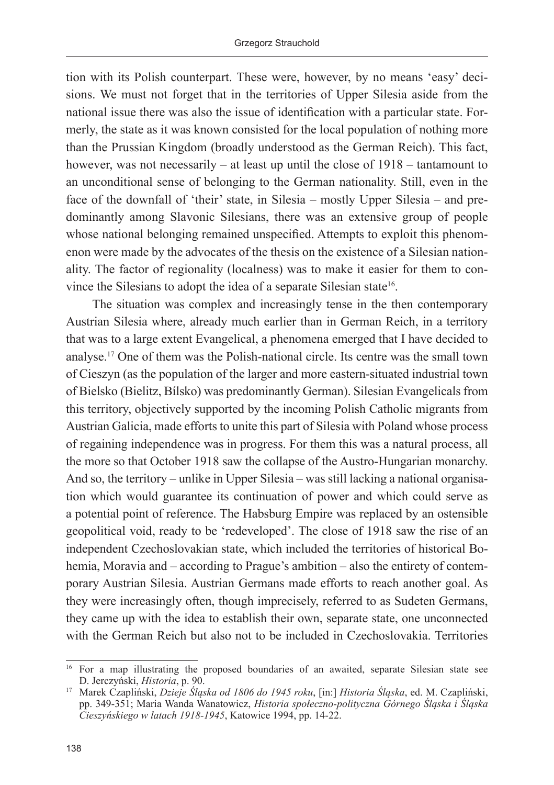tion with its Polish counterpart. These were, however, by no means 'easy' decisions. We must not forget that in the territories of Upper Silesia aside from the national issue there was also the issue of identification with a particular state. Formerly, the state as it was known consisted for the local population of nothing more than the Prussian Kingdom (broadly understood as the German Reich). This fact, however, was not necessarily – at least up until the close of  $1918$  – tantamount to an unconditional sense of belonging to the German nationality. Still, even in the face of the downfall of 'their' state, in Silesia – mostly Upper Silesia – and predominantly among Slavonic Silesians, there was an extensive group of people whose national belonging remained unspecified. Attempts to exploit this phenomenon were made by the advocates of the thesis on the existence of a Silesian nationality. The factor of regionality (localness) was to make it easier for them to convince the Silesians to adopt the idea of a separate Silesian state<sup>16</sup>.

The situation was complex and increasingly tense in the then contemporary Austrian Silesia where, already much earlier than in German Reich, in a territory that was to a large extent Evangelical, a phenomena emerged that I have decided to analyse.17 One of them was the Polish-national circle. Its centre was the small town of Cieszyn (as the population of the larger and more eastern-situated industrial town of Bielsko (Bielitz, Bílsko) was predominantly German). Silesian Evangelicals from this territory, objectively supported by the incoming Polish Catholic migrants from Austrian Galicia, made efforts to unite this part of Silesia with Poland whose process of regaining independence was in progress. For them this was a natural process, all the more so that October 1918 saw the collapse of the Austro-Hungarian monarchy. And so, the territory – unlike in Upper Silesia – was still lacking a national organisation which would guarantee its continuation of power and which could serve as a potential point of reference. The Habsburg Empire was replaced by an ostensible geopolitical void, ready to be 'redeveloped'. The close of 1918 saw the rise of an independent Czechoslovakian state, which included the territories of historical Bohemia, Moravia and – according to Prague's ambition – also the entirety of contemporary Austrian Silesia. Austrian Germans made efforts to reach another goal. As they were increasingly often, though imprecisely, referred to as Sudeten Germans, they came up with the idea to establish their own, separate state, one unconnected with the German Reich but also not to be included in Czechoslovakia. Territories

<sup>16</sup> For a map illustrating the proposed boundaries of an awaited, separate Silesian state see D. Jerczyński, *Historia*, p. 90.

<sup>17</sup> Marek Czapliński, *Dzieje Śląska od 1806 do 1945 roku*, [in:] *Historia Śląska*, ed. M. Czapliński, pp. 349-351; Maria Wanda Wanatowicz, *Historia społeczno-polityczna Górnego Śląska i Śląska Cieszyńskiego w latach 1918-1945*, Katowice 1994, pp. 14-22.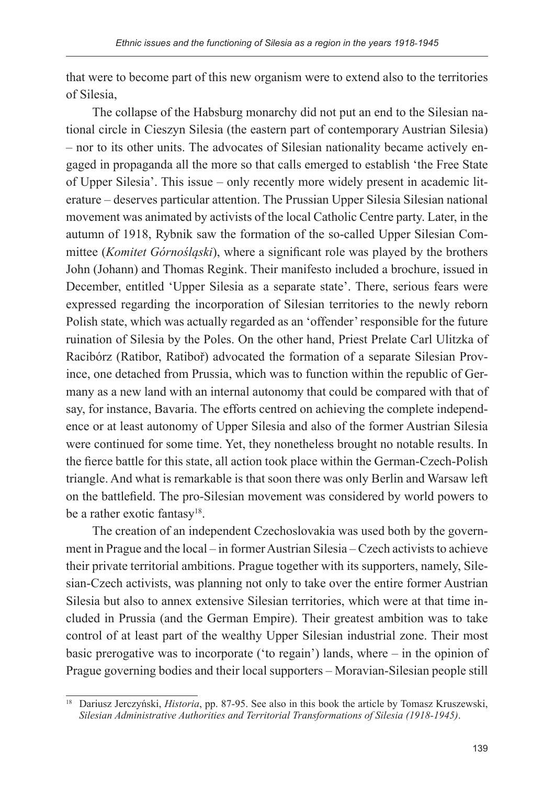that were to become part of this new organism were to extend also to the territories of Silesia,

The collapse of the Habsburg monarchy did not put an end to the Silesian national circle in Cieszyn Silesia (the eastern part of contemporary Austrian Silesia) – nor to its other units. The advocates of Silesian nationality became actively engaged in propaganda all the more so that calls emerged to establish 'the Free State of Upper Silesia'. This issue – only recently more widely present in academic literature – deserves particular attention. The Prussian Upper Silesia Silesian national movement was animated by activists of the local Catholic Centre party. Later, in the autumn of 1918, Rybnik saw the formation of the so-called Upper Silesian Committee (*Komitet Górnośląski*), where a significant role was played by the brothers John (Johann) and Thomas Regink. Their manifesto included a brochure, issued in December, entitled 'Upper Silesia as a separate state'. There, serious fears were expressed regarding the incorporation of Silesian territories to the newly reborn Polish state, which was actually regarded as an 'offender' responsible for the future ruination of Silesia by the Poles. On the other hand, Priest Prelate Carl Ulitzka of Racibórz (Ratibor, Ratiboř) advocated the formation of a separate Silesian Province, one detached from Prussia, which was to function within the republic of Germany as a new land with an internal autonomy that could be compared with that of say, for instance, Bavaria. The efforts centred on achieving the complete independence or at least autonomy of Upper Silesia and also of the former Austrian Silesia were continued for some time. Yet, they nonetheless brought no notable results. In the fierce battle for this state, all action took place within the German-Czech-Polish triangle. And what is remarkable is that soon there was only Berlin and Warsaw left on the battlefield. The pro-Silesian movement was considered by world powers to be a rather exotic fantasy<sup>18</sup>.

The creation of an independent Czechoslovakia was used both by the government in Prague and the local – in former Austrian Silesia – Czech activists to achieve their private territorial ambitions. Prague together with its supporters, namely, Silesian-Czech activists, was planning not only to take over the entire former Austrian Silesia but also to annex extensive Silesian territories, which were at that time included in Prussia (and the German Empire). Their greatest ambition was to take control of at least part of the wealthy Upper Silesian industrial zone. Their most basic prerogative was to incorporate ('to regain') lands, where – in the opinion of Prague governing bodies and their local supporters – Moravian-Silesian people still

<sup>&</sup>lt;sup>18</sup> Dariusz Jerczyński, *Historia*, pp. 87-95. See also in this book the article by Tomasz Kruszewski, *Silesian Administrative Authorities and Territorial Transformations of Silesia (1918-1945)*.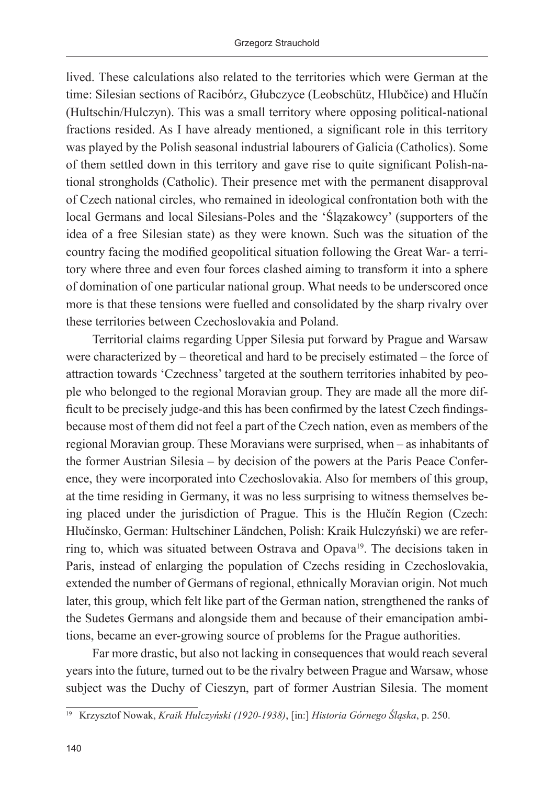lived. These calculations also related to the territories which were German at the time: Silesian sections of Racibórz, Głubczyce (Leobschütz, Hlubčice) and Hlučín (Hultschin/Hulczyn). This was a small territory where opposing political-national fractions resided. As I have already mentioned, a significant role in this territory was played by the Polish seasonal industrial labourers of Galicia (Catholics). Some of them settled down in this territory and gave rise to quite significant Polish-national strongholds (Catholic). Their presence met with the permanent disapproval of Czech national circles, who remained in ideological confrontation both with the local Germans and local Silesians-Poles and the 'Ślązakowcy' (supporters of the idea of a free Silesian state) as they were known. Such was the situation of the country facing the modified geopolitical situation following the Great War- a territory where three and even four forces clashed aiming to transform it into a sphere of domination of one particular national group. What needs to be underscored once more is that these tensions were fuelled and consolidated by the sharp rivalry over these territories between Czechoslovakia and Poland.

Territorial claims regarding Upper Silesia put forward by Prague and Warsaw were characterized by – theoretical and hard to be precisely estimated – the force of attraction towards 'Czechness' targeted at the southern territories inhabited by people who belonged to the regional Moravian group. They are made all the more difficult to be precisely judge-and this has been confirmed by the latest Czech findingsbecause most of them did not feel a part of the Czech nation, even as members of the regional Moravian group. These Moravians were surprised, when – as inhabitants of the former Austrian Silesia – by decision of the powers at the Paris Peace Conference, they were incorporated into Czechoslovakia. Also for members of this group, at the time residing in Germany, it was no less surprising to witness themselves being placed under the jurisdiction of Prague. This is the Hlučín Region (Czech: Hlučínsko, German: Hultschiner Ländchen, Polish: Kraik Hulczyński) we are referring to, which was situated between Ostrava and Opava<sup>19</sup>. The decisions taken in Paris, instead of enlarging the population of Czechs residing in Czechoslovakia, extended the number of Germans of regional, ethnically Moravian origin. Not much later, this group, which felt like part of the German nation, strengthened the ranks of the Sudetes Germans and alongside them and because of their emancipation ambitions, became an ever-growing source of problems for the Prague authorities.

Far more drastic, but also not lacking in consequences that would reach several years into the future, turned out to be the rivalry between Prague and Warsaw, whose subject was the Duchy of Cieszyn, part of former Austrian Silesia. The moment

<sup>19</sup> Krzysztof Nowak, *Kraik Hulczyński (1920-1938)*, [in:] *Historia Górnego Śląska*, p. 250.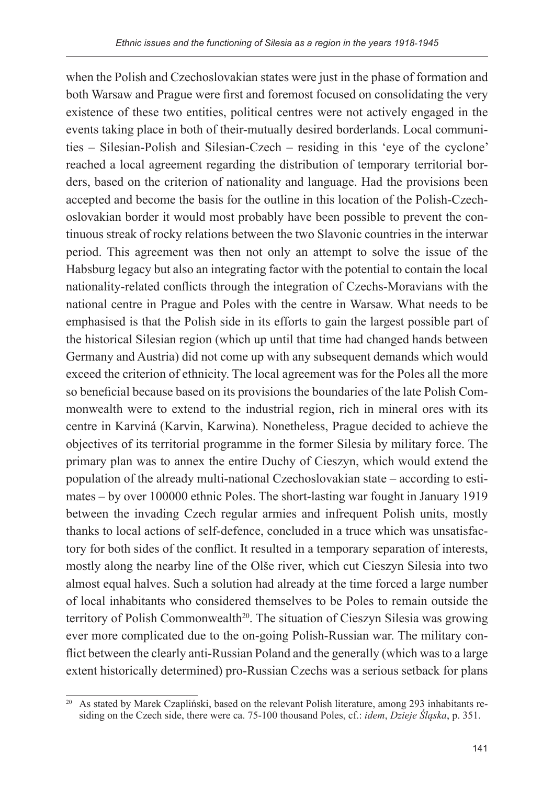when the Polish and Czechoslovakian states were just in the phase of formation and both Warsaw and Prague were first and foremost focused on consolidating the very existence of these two entities, political centres were not actively engaged in the events taking place in both of their-mutually desired borderlands. Local communities – Silesian-Polish and Silesian-Czech – residing in this 'eye of the cyclone' reached a local agreement regarding the distribution of temporary territorial borders, based on the criterion of nationality and language. Had the provisions been accepted and become the basis for the outline in this location of the Polish-Czechoslovakian border it would most probably have been possible to prevent the continuous streak of rocky relations between the two Slavonic countries in the interwar period. This agreement was then not only an attempt to solve the issue of the Habsburg legacy but also an integrating factor with the potential to contain the local nationality-related conflicts through the integration of Czechs-Moravians with the national centre in Prague and Poles with the centre in Warsaw. What needs to be emphasised is that the Polish side in its efforts to gain the largest possible part of the historical Silesian region (which up until that time had changed hands between Germany and Austria) did not come up with any subsequent demands which would exceed the criterion of ethnicity. The local agreement was for the Poles all the more so beneficial because based on its provisions the boundaries of the late Polish Commonwealth were to extend to the industrial region, rich in mineral ores with its centre in Karviná (Karvin, Karwina). Nonetheless, Prague decided to achieve the objectives of its territorial programme in the former Silesia by military force. The primary plan was to annex the entire Duchy of Cieszyn, which would extend the population of the already multi-national Czechoslovakian state – according to estimates – by over 100000 ethnic Poles. The short-lasting war fought in January 1919 between the invading Czech regular armies and infrequent Polish units, mostly thanks to local actions of self-defence, concluded in a truce which was unsatisfactory for both sides of the conflict. It resulted in a temporary separation of interests, mostly along the nearby line of the Olše river, which cut Cieszyn Silesia into two almost equal halves. Such a solution had already at the time forced a large number of local inhabitants who considered themselves to be Poles to remain outside the territory of Polish Commonwealth<sup>20</sup>. The situation of Cieszyn Silesia was growing ever more complicated due to the on-going Polish-Russian war. The military conflict between the clearly anti-Russian Poland and the generally (which was to a large extent historically determined) pro-Russian Czechs was a serious setback for plans

 $20$  As stated by Marek Czapliński, based on the relevant Polish literature, among 293 inhabitants residing on the Czech side, there were ca. 75-100 thousand Poles, cf.: *idem*, *Dzieje Śląska*, p. 351.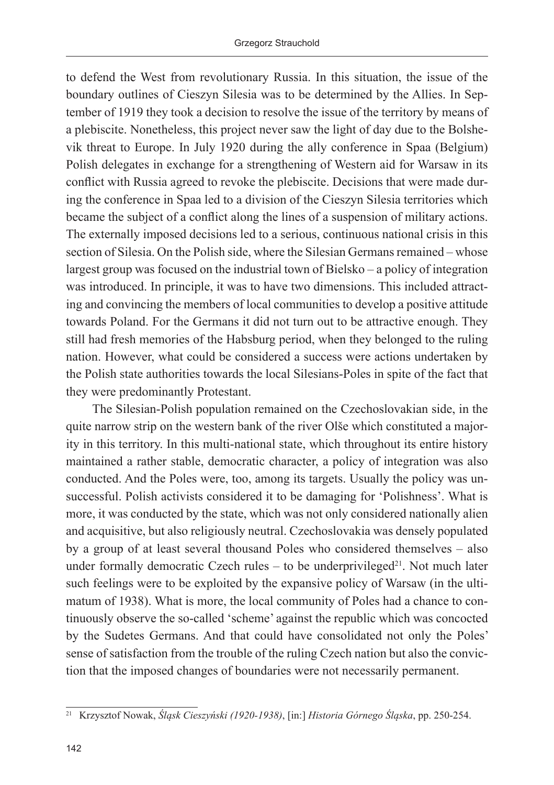to defend the West from revolutionary Russia. In this situation, the issue of the boundary outlines of Cieszyn Silesia was to be determined by the Allies. In September of 1919 they took a decision to resolve the issue of the territory by means of a plebiscite. Nonetheless, this project never saw the light of day due to the Bolshevik threat to Europe. In July 1920 during the ally conference in Spaa (Belgium) Polish delegates in exchange for a strengthening of Western aid for Warsaw in its conflict with Russia agreed to revoke the plebiscite. Decisions that were made during the conference in Spaa led to a division of the Cieszyn Silesia territories which became the subject of a conflict along the lines of a suspension of military actions. The externally imposed decisions led to a serious, continuous national crisis in this section of Silesia. On the Polish side, where the Silesian Germans remained – whose largest group was focused on the industrial town of Bielsko – a policy of integration was introduced. In principle, it was to have two dimensions. This included attracting and convincing the members of local communities to develop a positive attitude towards Poland. For the Germans it did not turn out to be attractive enough. They still had fresh memories of the Habsburg period, when they belonged to the ruling nation. However, what could be considered a success were actions undertaken by the Polish state authorities towards the local Silesians-Poles in spite of the fact that they were predominantly Protestant.

The Silesian-Polish population remained on the Czechoslovakian side, in the quite narrow strip on the western bank of the river Olše which constituted a majority in this territory. In this multi-national state, which throughout its entire history maintained a rather stable, democratic character, a policy of integration was also conducted. And the Poles were, too, among its targets. Usually the policy was unsuccessful. Polish activists considered it to be damaging for 'Polishness'. What is more, it was conducted by the state, which was not only considered nationally alien and acquisitive, but also religiously neutral. Czechoslovakia was densely populated by a group of at least several thousand Poles who considered themselves – also under formally democratic Czech rules – to be underprivileged $21$ . Not much later such feelings were to be exploited by the expansive policy of Warsaw (in the ultimatum of 1938). What is more, the local community of Poles had a chance to continuously observe the so-called 'scheme' against the republic which was concocted by the Sudetes Germans. And that could have consolidated not only the Poles' sense of satisfaction from the trouble of the ruling Czech nation but also the conviction that the imposed changes of boundaries were not necessarily permanent.

<sup>21</sup> Krzysztof Nowak, *Śląsk Cieszyński (1920-1938)*, [in:] *Historia Górnego Śląska*, pp. 250-254.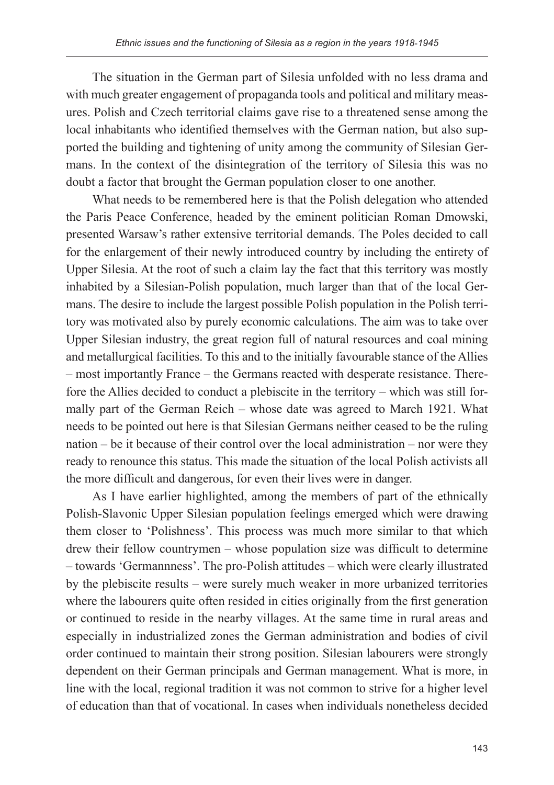The situation in the German part of Silesia unfolded with no less drama and with much greater engagement of propaganda tools and political and military measures. Polish and Czech territorial claims gave rise to a threatened sense among the local inhabitants who identified themselves with the German nation, but also supported the building and tightening of unity among the community of Silesian Germans. In the context of the disintegration of the territory of Silesia this was no doubt a factor that brought the German population closer to one another.

What needs to be remembered here is that the Polish delegation who attended the Paris Peace Conference, headed by the eminent politician Roman Dmowski, presented Warsaw's rather extensive territorial demands. The Poles decided to call for the enlargement of their newly introduced country by including the entirety of Upper Silesia. At the root of such a claim lay the fact that this territory was mostly inhabited by a Silesian-Polish population, much larger than that of the local Germans. The desire to include the largest possible Polish population in the Polish territory was motivated also by purely economic calculations. The aim was to take over Upper Silesian industry, the great region full of natural resources and coal mining and metallurgical facilities. To this and to the initially favourable stance of the Allies – most importantly France – the Germans reacted with desperate resistance. Therefore the Allies decided to conduct a plebiscite in the territory – which was still formally part of the German Reich – whose date was agreed to March 1921. What needs to be pointed out here is that Silesian Germans neither ceased to be the ruling nation – be it because of their control over the local administration – nor were they ready to renounce this status. This made the situation of the local Polish activists all the more difficult and dangerous, for even their lives were in danger.

As I have earlier highlighted, among the members of part of the ethnically Polish-Slavonic Upper Silesian population feelings emerged which were drawing them closer to 'Polishness'. This process was much more similar to that which drew their fellow countrymen – whose population size was difficult to determine – towards 'Germannness'. The pro-Polish attitudes – which were clearly illustrated by the plebiscite results – were surely much weaker in more urbanized territories where the labourers quite often resided in cities originally from the first generation or continued to reside in the nearby villages. At the same time in rural areas and especially in industrialized zones the German administration and bodies of civil order continued to maintain their strong position. Silesian labourers were strongly dependent on their German principals and German management. What is more, in line with the local, regional tradition it was not common to strive for a higher level of education than that of vocational. In cases when individuals nonetheless decided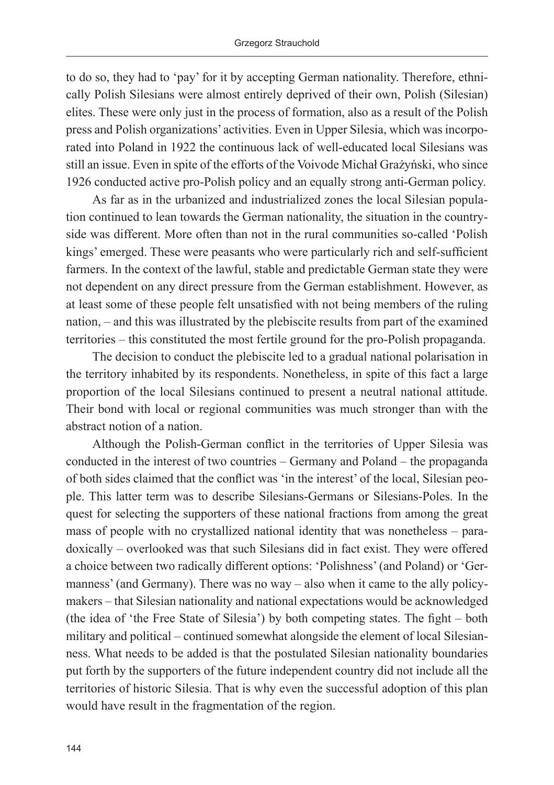to do so, they had to 'pay' for it by accepting German nationality. Therefore, ethnically Polish Silesians were almost entirely deprived of their own, Polish (Silesian) elites. These were only just in the process of formation, also as a result of the Polish press and Polish organizations' activities. Even in Upper Silesia, which was incorporated into Poland in 1922 the continuous lack of well-educated local Silesians was still an issue. Even in spite of the efforts of the Voivode Michał Grażyński, who since 1926 conducted active pro-Polish policy and an equally strong anti-German policy.

As far as in the urbanized and industrialized zones the local Silesian population continued to lean towards the German nationality, the situation in the countryside was different. More often than not in the rural communities so-called 'Polish kings' emerged. These were peasants who were particularly rich and self-sufficient farmers. In the context of the lawful, stable and predictable German state they were not dependent on any direct pressure from the German establishment. However, as at least some of these people felt unsatisfied with not being members of the ruling nation, – and this was illustrated by the plebiscite results from part of the examined territories – this constituted the most fertile ground for the pro-Polish propaganda.

The decision to conduct the plebiscite led to a gradual national polarisation in the territory inhabited by its respondents. Nonetheless, in spite of this fact a large proportion of the local Silesians continued to present a neutral national attitude. Their bond with local or regional communities was much stronger than with the abstract notion of a nation.

Although the Polish-German conflict in the territories of Upper Silesia was conducted in the interest of two countries – Germany and Poland – the propaganda of both sides claimed that the conflict was 'in the interest' of the local, Silesian people. This latter term was to describe Silesians-Germans or Silesians-Poles. In the quest for selecting the supporters of these national fractions from among the great mass of people with no crystallized national identity that was nonetheless – paradoxically – overlooked was that such Silesians did in fact exist. They were offered a choice between two radically different options: 'Polishness' (and Poland) or 'Germanness' (and Germany). There was no way – also when it came to the ally policymakers – that Silesian nationality and national expectations would be acknowledged (the idea of 'the Free State of Silesia') by both competing states. The fight – both military and political – continued somewhat alongside the element of local Silesianness. What needs to be added is that the postulated Silesian nationality boundaries put forth by the supporters of the future independent country did not include all the territories of historic Silesia. That is why even the successful adoption of this plan would have result in the fragmentation of the region.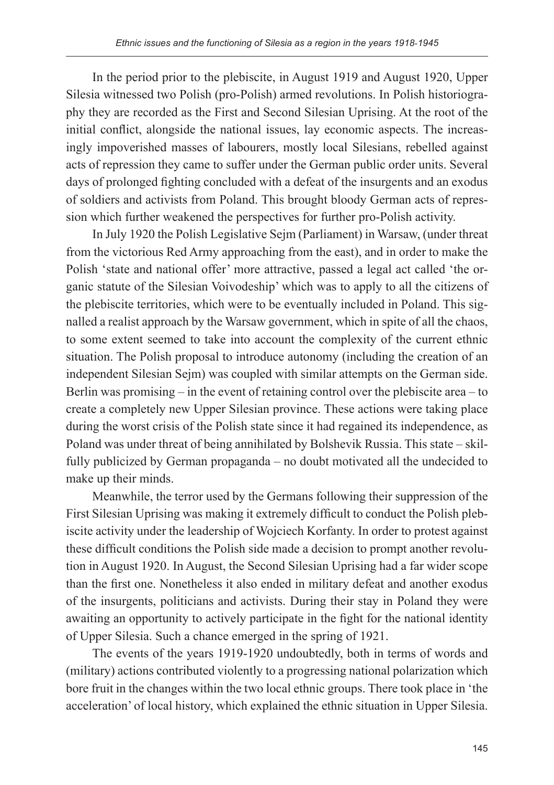In the period prior to the plebiscite, in August 1919 and August 1920, Upper Silesia witnessed two Polish (pro-Polish) armed revolutions. In Polish historiography they are recorded as the First and Second Silesian Uprising. At the root of the initial conflict, alongside the national issues, lay economic aspects. The increasingly impoverished masses of labourers, mostly local Silesians, rebelled against acts of repression they came to suffer under the German public order units. Several days of prolonged fighting concluded with a defeat of the insurgents and an exodus of soldiers and activists from Poland. This brought bloody German acts of repression which further weakened the perspectives for further pro-Polish activity.

In July 1920 the Polish Legislative Sejm (Parliament) in Warsaw, (under threat from the victorious Red Army approaching from the east), and in order to make the Polish 'state and national offer' more attractive, passed a legal act called 'the organic statute of the Silesian Voivodeship' which was to apply to all the citizens of the plebiscite territories, which were to be eventually included in Poland. This signalled a realist approach by the Warsaw government, which in spite of all the chaos, to some extent seemed to take into account the complexity of the current ethnic situation. The Polish proposal to introduce autonomy (including the creation of an independent Silesian Sejm) was coupled with similar attempts on the German side. Berlin was promising – in the event of retaining control over the plebiscite area – to create a completely new Upper Silesian province. These actions were taking place during the worst crisis of the Polish state since it had regained its independence, as Poland was under threat of being annihilated by Bolshevik Russia. This state – skilfully publicized by German propaganda – no doubt motivated all the undecided to make up their minds.

Meanwhile, the terror used by the Germans following their suppression of the First Silesian Uprising was making it extremely difficult to conduct the Polish plebiscite activity under the leadership of Wojciech Korfanty. In order to protest against these difficult conditions the Polish side made a decision to prompt another revolution in August 1920. In August, the Second Silesian Uprising had a far wider scope than the first one. Nonetheless it also ended in military defeat and another exodus of the insurgents, politicians and activists. During their stay in Poland they were awaiting an opportunity to actively participate in the fight for the national identity of Upper Silesia. Such a chance emerged in the spring of 1921.

The events of the years 1919-1920 undoubtedly, both in terms of words and (military) actions contributed violently to a progressing national polarization which bore fruit in the changes within the two local ethnic groups. There took place in 'the acceleration' of local history, which explained the ethnic situation in Upper Silesia.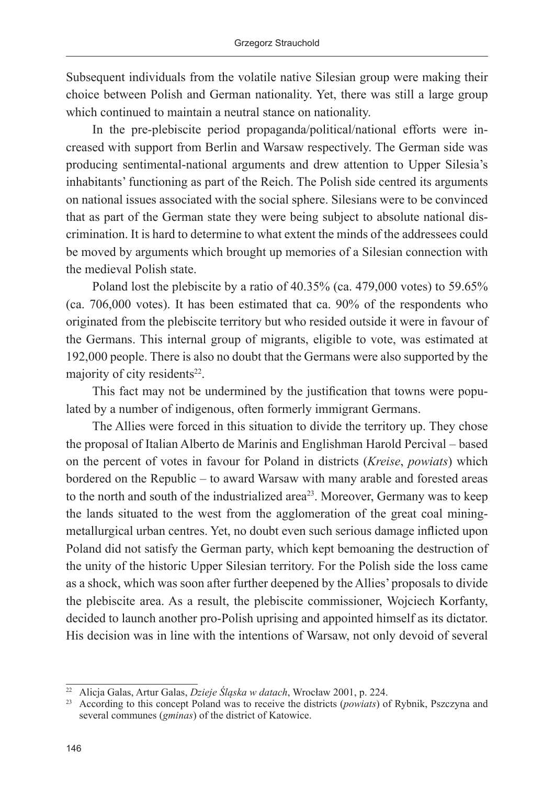Subsequent individuals from the volatile native Silesian group were making their choice between Polish and German nationality. Yet, there was still a large group which continued to maintain a neutral stance on nationality.

In the pre-plebiscite period propaganda/political/national efforts were increased with support from Berlin and Warsaw respectively. The German side was producing sentimental-national arguments and drew attention to Upper Silesia's inhabitants' functioning as part of the Reich. The Polish side centred its arguments on national issues associated with the social sphere. Silesians were to be convinced that as part of the German state they were being subject to absolute national discrimination. It is hard to determine to what extent the minds of the addressees could be moved by arguments which brought up memories of a Silesian connection with the medieval Polish state.

Poland lost the plebiscite by a ratio of 40.35% (ca. 479,000 votes) to 59.65% (ca. 706,000 votes). It has been estimated that ca. 90% of the respondents who originated from the plebiscite territory but who resided outside it were in favour of the Germans. This internal group of migrants, eligible to vote, was estimated at 192,000 people. There is also no doubt that the Germans were also supported by the majority of city residents $22$ .

This fact may not be undermined by the justification that towns were populated by a number of indigenous, often formerly immigrant Germans.

The Allies were forced in this situation to divide the territory up. They chose the proposal of Italian Alberto de Marinis and Englishman Harold Percival – based on the percent of votes in favour for Poland in districts (*Kreise*, *powiats*) which bordered on the Republic – to award Warsaw with many arable and forested areas to the north and south of the industrialized area<sup>23</sup>. Moreover, Germany was to keep the lands situated to the west from the agglomeration of the great coal miningmetallurgical urban centres. Yet, no doubt even such serious damage inflicted upon Poland did not satisfy the German party, which kept bemoaning the destruction of the unity of the historic Upper Silesian territory. For the Polish side the loss came as a shock, which was soon after further deepened by the Allies' proposals to divide the plebiscite area. As a result, the plebiscite commissioner, Wojciech Korfanty, decided to launch another pro-Polish uprising and appointed himself as its dictator. His decision was in line with the intentions of Warsaw, not only devoid of several

<sup>22</sup> Alicja Galas, Artur Galas, *Dzieje Śląska w datach*, Wrocław 2001, p. 224.

<sup>23</sup> According to this concept Poland was to receive the districts (*powiats*) of Rybnik, Pszczyna and several communes (*gminas*) of the district of Katowice.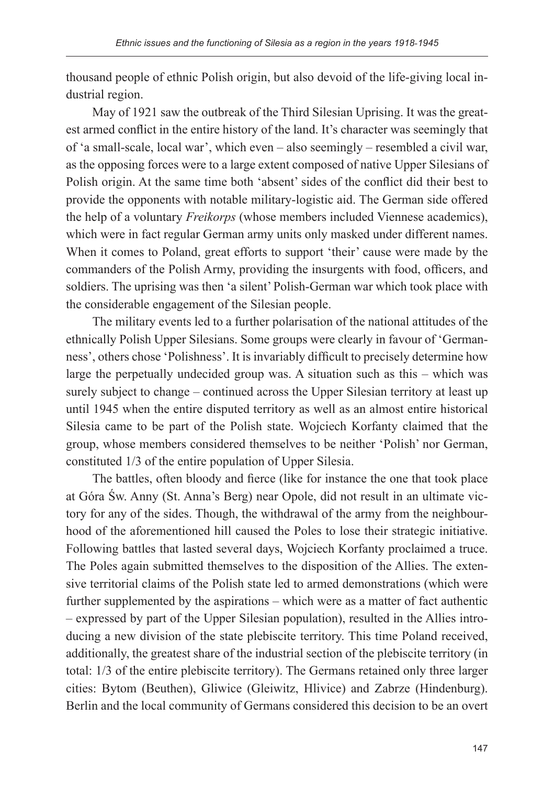thousand people of ethnic Polish origin, but also devoid of the life-giving local industrial region.

May of 1921 saw the outbreak of the Third Silesian Uprising. It was the greatest armed conflict in the entire history of the land. It's character was seemingly that of 'a small-scale, local war', which even – also seemingly – resembled a civil war, as the opposing forces were to a large extent composed of native Upper Silesians of Polish origin. At the same time both 'absent' sides of the conflict did their best to provide the opponents with notable military-logistic aid. The German side offered the help of a voluntary *Freikorps* (whose members included Viennese academics), which were in fact regular German army units only masked under different names. When it comes to Poland, great efforts to support 'their' cause were made by the commanders of the Polish Army, providing the insurgents with food, officers, and soldiers. The uprising was then 'a silent' Polish-German war which took place with the considerable engagement of the Silesian people.

The military events led to a further polarisation of the national attitudes of the ethnically Polish Upper Silesians. Some groups were clearly in favour of 'Germanness', others chose 'Polishness'. It is invariably difficult to precisely determine how large the perpetually undecided group was. A situation such as this – which was surely subject to change – continued across the Upper Silesian territory at least up until 1945 when the entire disputed territory as well as an almost entire historical Silesia came to be part of the Polish state. Wojciech Korfanty claimed that the group, whose members considered themselves to be neither 'Polish' nor German, constituted 1/3 of the entire population of Upper Silesia.

The battles, often bloody and fierce (like for instance the one that took place at Góra Św. Anny (St. Anna's Berg) near Opole, did not result in an ultimate victory for any of the sides. Though, the withdrawal of the army from the neighbourhood of the aforementioned hill caused the Poles to lose their strategic initiative. Following battles that lasted several days, Wojciech Korfanty proclaimed a truce. The Poles again submitted themselves to the disposition of the Allies. The extensive territorial claims of the Polish state led to armed demonstrations (which were further supplemented by the aspirations – which were as a matter of fact authentic – expressed by part of the Upper Silesian population), resulted in the Allies introducing a new division of the state plebiscite territory. This time Poland received, additionally, the greatest share of the industrial section of the plebiscite territory (in total: 1/3 of the entire plebiscite territory). The Germans retained only three larger cities: Bytom (Beuthen), Gliwice (Gleiwitz, Hlivice) and Zabrze (Hindenburg). Berlin and the local community of Germans considered this decision to be an overt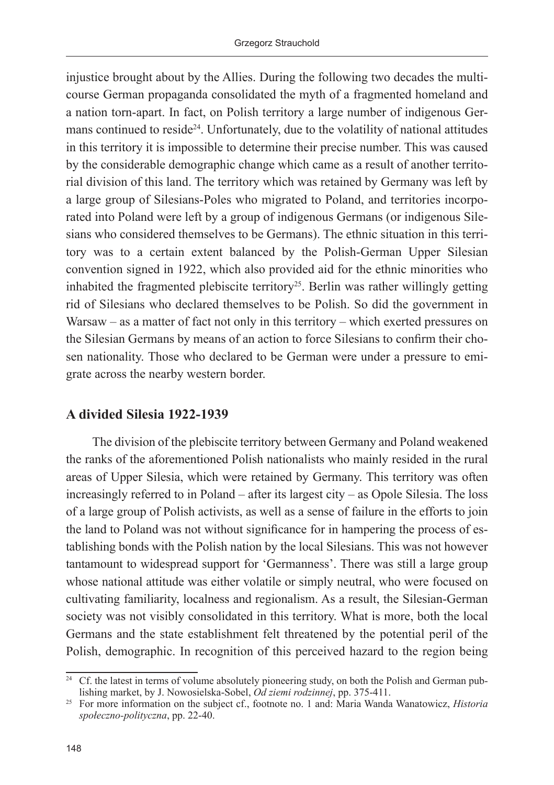injustice brought about by the Allies. During the following two decades the multicourse German propaganda consolidated the myth of a fragmented homeland and a nation torn-apart. In fact, on Polish territory a large number of indigenous Germans continued to reside<sup>24</sup>. Unfortunately, due to the volatility of national attitudes in this territory it is impossible to determine their precise number. This was caused by the considerable demographic change which came as a result of another territorial division of this land. The territory which was retained by Germany was left by a large group of Silesians-Poles who migrated to Poland, and territories incorporated into Poland were left by a group of indigenous Germans (or indigenous Silesians who considered themselves to be Germans). The ethnic situation in this territory was to a certain extent balanced by the Polish-German Upper Silesian convention signed in 1922, which also provided aid for the ethnic minorities who inhabited the fragmented plebiscite territory<sup>25</sup>. Berlin was rather willingly getting rid of Silesians who declared themselves to be Polish. So did the government in Warsaw – as a matter of fact not only in this territory – which exerted pressures on the Silesian Germans by means of an action to force Silesians to confirm their chosen nationality. Those who declared to be German were under a pressure to emigrate across the nearby western border.

# **A divided Silesia 1922-1939**

The division of the plebiscite territory between Germany and Poland weakened the ranks of the aforementioned Polish nationalists who mainly resided in the rural areas of Upper Silesia, which were retained by Germany. This territory was often increasingly referred to in Poland – after its largest city – as Opole Silesia. The loss of a large group of Polish activists, as well as a sense of failure in the efforts to join the land to Poland was not without significance for in hampering the process of establishing bonds with the Polish nation by the local Silesians. This was not however tantamount to widespread support for 'Germanness'. There was still a large group whose national attitude was either volatile or simply neutral, who were focused on cultivating familiarity, localness and regionalism. As a result, the Silesian-German society was not visibly consolidated in this territory. What is more, both the local Germans and the state establishment felt threatened by the potential peril of the Polish, demographic. In recognition of this perceived hazard to the region being

<sup>&</sup>lt;sup>24</sup> Cf. the latest in terms of volume absolutely pioneering study, on both the Polish and German publishing market, by J. Nowosielska-Sobel, *Od ziemi rodzinnej*, pp. 375-411.

<sup>25</sup> For more information on the subject cf., footnote no. 1 and: Maria Wanda Wanatowicz, *Historia społeczno-polityczna*, pp. 22-40.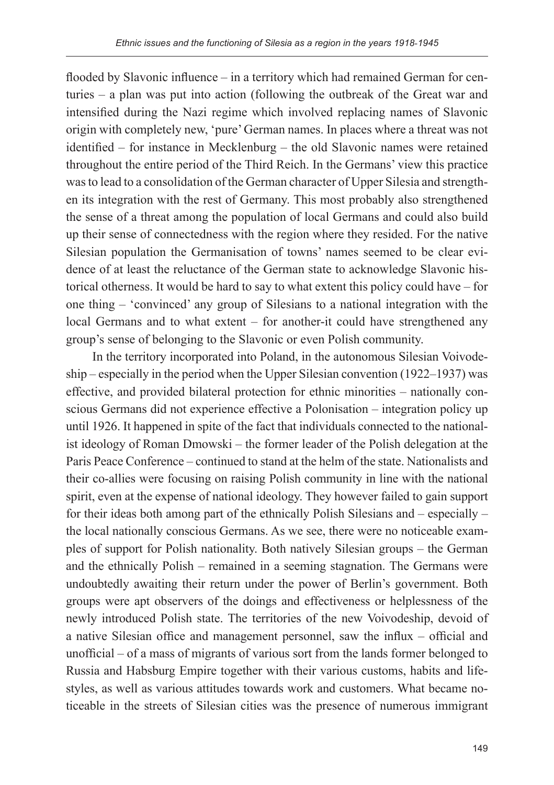flooded by Slavonic influence – in a territory which had remained German for centuries – a plan was put into action (following the outbreak of the Great war and intensified during the Nazi regime which involved replacing names of Slavonic origin with completely new, 'pure' German names. In places where a threat was not identified – for instance in Mecklenburg – the old Slavonic names were retained throughout the entire period of the Third Reich. In the Germans' view this practice was to lead to a consolidation of the German character of Upper Silesia and strengthen its integration with the rest of Germany. This most probably also strengthened the sense of a threat among the population of local Germans and could also build up their sense of connectedness with the region where they resided. For the native Silesian population the Germanisation of towns' names seemed to be clear evidence of at least the reluctance of the German state to acknowledge Slavonic historical otherness. It would be hard to say to what extent this policy could have – for one thing – 'convinced' any group of Silesians to a national integration with the local Germans and to what extent – for another-it could have strengthened any group's sense of belonging to the Slavonic or even Polish community.

In the territory incorporated into Poland, in the autonomous Silesian Voivodeship – especially in the period when the Upper Silesian convention (1922–1937) was effective, and provided bilateral protection for ethnic minorities – nationally conscious Germans did not experience effective a Polonisation – integration policy up until 1926. It happened in spite of the fact that individuals connected to the nationalist ideology of Roman Dmowski – the former leader of the Polish delegation at the Paris Peace Conference – continued to stand at the helm of the state. Nationalists and their co-allies were focusing on raising Polish community in line with the national spirit, even at the expense of national ideology. They however failed to gain support for their ideas both among part of the ethnically Polish Silesians and – especially – the local nationally conscious Germans. As we see, there were no noticeable examples of support for Polish nationality. Both natively Silesian groups – the German and the ethnically Polish – remained in a seeming stagnation. The Germans were undoubtedly awaiting their return under the power of Berlin's government. Both groups were apt observers of the doings and effectiveness or helplessness of the newly introduced Polish state. The territories of the new Voivodeship, devoid of a native Silesian office and management personnel, saw the influx – official and unofficial – of a mass of migrants of various sort from the lands former belonged to Russia and Habsburg Empire together with their various customs, habits and lifestyles, as well as various attitudes towards work and customers. What became noticeable in the streets of Silesian cities was the presence of numerous immigrant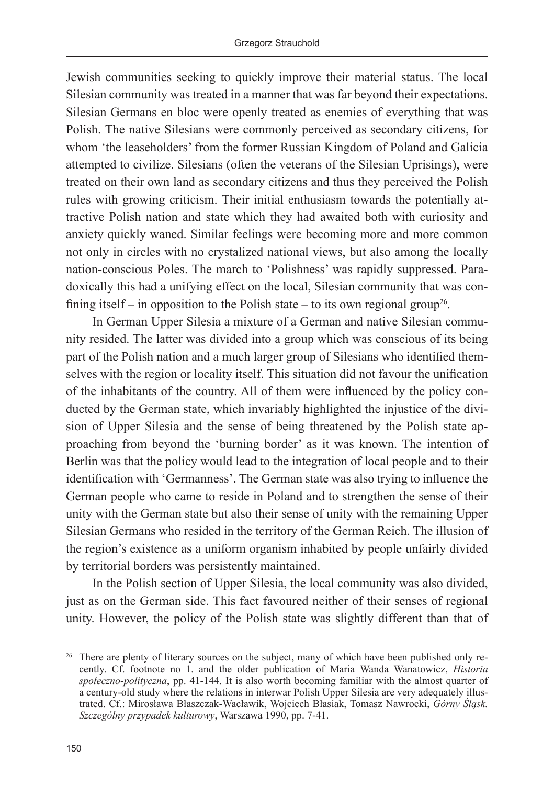Jewish communities seeking to quickly improve their material status. The local Silesian community was treated in a manner that was far beyond their expectations. Silesian Germans en bloc were openly treated as enemies of everything that was Polish. The native Silesians were commonly perceived as secondary citizens, for whom 'the leaseholders' from the former Russian Kingdom of Poland and Galicia attempted to civilize. Silesians (often the veterans of the Silesian Uprisings), were treated on their own land as secondary citizens and thus they perceived the Polish rules with growing criticism. Their initial enthusiasm towards the potentially attractive Polish nation and state which they had awaited both with curiosity and anxiety quickly waned. Similar feelings were becoming more and more common not only in circles with no crystalized national views, but also among the locally nation-conscious Poles. The march to 'Polishness' was rapidly suppressed. Paradoxically this had a unifying effect on the local, Silesian community that was confining itself – in opposition to the Polish state – to its own regional group<sup>26</sup>.

In German Upper Silesia a mixture of a German and native Silesian community resided. The latter was divided into a group which was conscious of its being part of the Polish nation and a much larger group of Silesians who identified themselves with the region or locality itself. This situation did not favour the unification of the inhabitants of the country. All of them were influenced by the policy conducted by the German state, which invariably highlighted the injustice of the division of Upper Silesia and the sense of being threatened by the Polish state approaching from beyond the 'burning border' as it was known. The intention of Berlin was that the policy would lead to the integration of local people and to their identification with 'Germanness'. The German state was also trying to influence the German people who came to reside in Poland and to strengthen the sense of their unity with the German state but also their sense of unity with the remaining Upper Silesian Germans who resided in the territory of the German Reich. The illusion of the region's existence as a uniform organism inhabited by people unfairly divided by territorial borders was persistently maintained.

In the Polish section of Upper Silesia, the local community was also divided, just as on the German side. This fact favoured neither of their senses of regional unity. However, the policy of the Polish state was slightly different than that of

<sup>&</sup>lt;sup>26</sup> There are plenty of literary sources on the subject, many of which have been published only recently. Cf. footnote no 1. and the older publication of Maria Wanda Wanatowicz, *Historia społeczno-polityczna*, pp. 41-144. It is also worth becoming familiar with the almost quarter of a century-old study where the relations in interwar Polish Upper Silesia are very adequately illustrated. Cf.: Mirosława Błaszczak-Wacławik, Wojciech Błasiak, Tomasz Nawrocki, *Górny Śląsk. Szczególny przypadek kulturowy*, Warszawa 1990, pp. 7-41.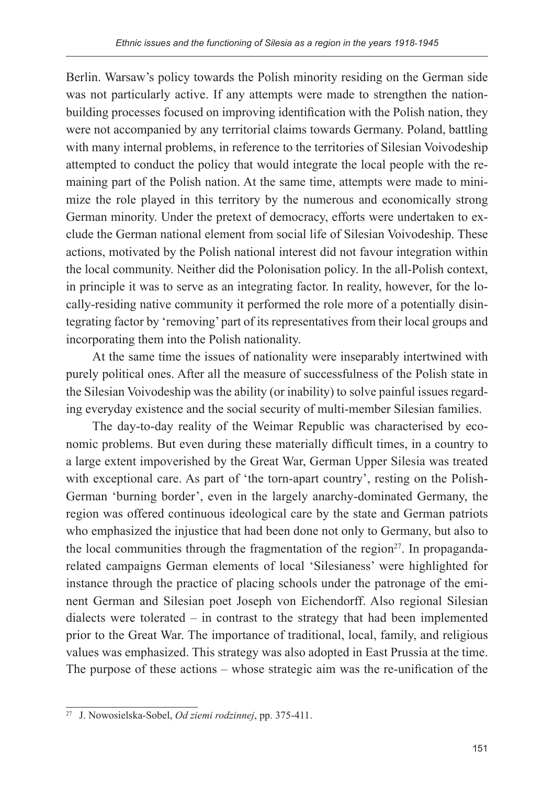Berlin. Warsaw's policy towards the Polish minority residing on the German side was not particularly active. If any attempts were made to strengthen the nationbuilding processes focused on improving identification with the Polish nation, they were not accompanied by any territorial claims towards Germany. Poland, battling with many internal problems, in reference to the territories of Silesian Voivodeship attempted to conduct the policy that would integrate the local people with the remaining part of the Polish nation. At the same time, attempts were made to minimize the role played in this territory by the numerous and economically strong German minority. Under the pretext of democracy, efforts were undertaken to exclude the German national element from social life of Silesian Voivodeship. These actions, motivated by the Polish national interest did not favour integration within the local community. Neither did the Polonisation policy. In the all-Polish context, in principle it was to serve as an integrating factor. In reality, however, for the locally-residing native community it performed the role more of a potentially disintegrating factor by 'removing' part of its representatives from their local groups and incorporating them into the Polish nationality.

At the same time the issues of nationality were inseparably intertwined with purely political ones. After all the measure of successfulness of the Polish state in the Silesian Voivodeship was the ability (or inability) to solve painful issues regarding everyday existence and the social security of multi-member Silesian families.

The day-to-day reality of the Weimar Republic was characterised by economic problems. But even during these materially difficult times, in a country to a large extent impoverished by the Great War, German Upper Silesia was treated with exceptional care. As part of 'the torn-apart country', resting on the Polish-German 'burning border', even in the largely anarchy-dominated Germany, the region was offered continuous ideological care by the state and German patriots who emphasized the injustice that had been done not only to Germany, but also to the local communities through the fragmentation of the region $27$ . In propagandarelated campaigns German elements of local 'Silesianess' were highlighted for instance through the practice of placing schools under the patronage of the eminent German and Silesian poet Joseph von Eichendorff. Also regional Silesian dialects were tolerated – in contrast to the strategy that had been implemented prior to the Great War. The importance of traditional, local, family, and religious values was emphasized. This strategy was also adopted in East Prussia at the time. The purpose of these actions – whose strategic aim was the re-unification of the

<sup>27</sup> J. Nowosielska-Sobel, *Od ziemi rodzinnej*, pp. 375-411.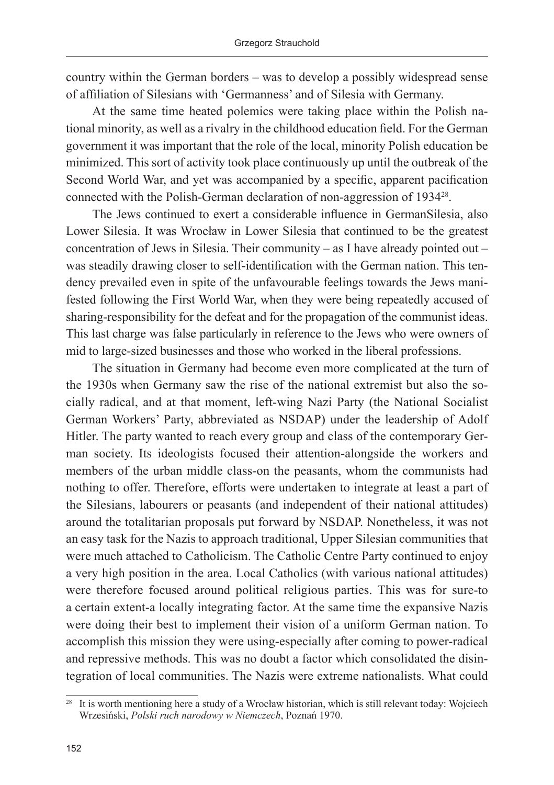country within the German borders – was to develop a possibly widespread sense of affiliation of Silesians with 'Germanness' and of Silesia with Germany.

At the same time heated polemics were taking place within the Polish national minority, as well as a rivalry in the childhood education field. For the German government it was important that the role of the local, minority Polish education be minimized. This sort of activity took place continuously up until the outbreak of the Second World War, and yet was accompanied by a specific, apparent pacification connected with the Polish-German declaration of non-aggression of 193428.

The Jews continued to exert a considerable influence in GermanSilesia, also Lower Silesia. It was Wrocław in Lower Silesia that continued to be the greatest concentration of Jews in Silesia. Their community – as I have already pointed out – was steadily drawing closer to self-identification with the German nation. This tendency prevailed even in spite of the unfavourable feelings towards the Jews manifested following the First World War, when they were being repeatedly accused of sharing-responsibility for the defeat and for the propagation of the communist ideas. This last charge was false particularly in reference to the Jews who were owners of mid to large-sized businesses and those who worked in the liberal professions.

The situation in Germany had become even more complicated at the turn of the 1930s when Germany saw the rise of the national extremist but also the socially radical, and at that moment, left-wing Nazi Party (the National Socialist German Workers' Party, abbreviated as NSDAP) under the leadership of Adolf Hitler. The party wanted to reach every group and class of the contemporary German society. Its ideologists focused their attention-alongside the workers and members of the urban middle class-on the peasants, whom the communists had nothing to offer. Therefore, efforts were undertaken to integrate at least a part of the Silesians, labourers or peasants (and independent of their national attitudes) around the totalitarian proposals put forward by NSDAP. Nonetheless, it was not an easy task for the Nazis to approach traditional, Upper Silesian communities that were much attached to Catholicism. The Catholic Centre Party continued to enjoy a very high position in the area. Local Catholics (with various national attitudes) were therefore focused around political religious parties. This was for sure-to a certain extent-a locally integrating factor. At the same time the expansive Nazis were doing their best to implement their vision of a uniform German nation. To accomplish this mission they were using-especially after coming to power-radical and repressive methods. This was no doubt a factor which consolidated the disintegration of local communities. The Nazis were extreme nationalists. What could

<sup>28</sup> It is worth mentioning here a study of a Wrocław historian, which is still relevant today: Wojciech Wrzesiński, *Polski ruch narodowy w Niemczech*, Poznań 1970.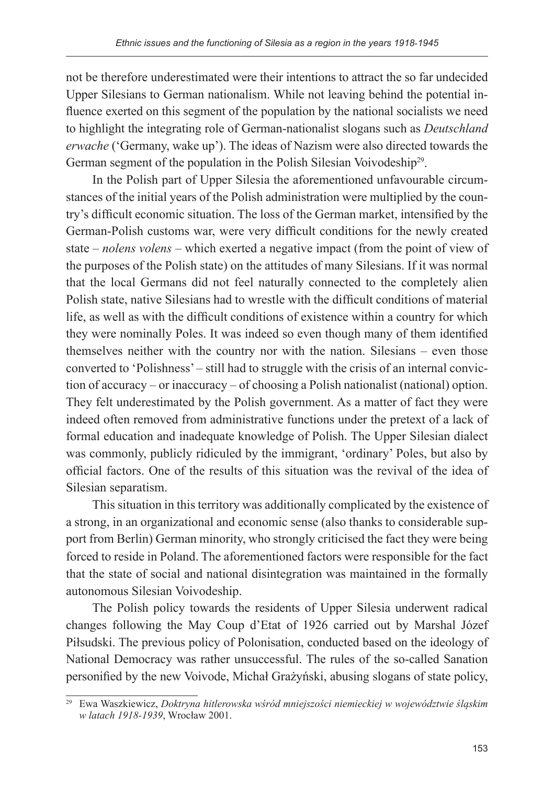not be therefore underestimated were their intentions to attract the so far undecided Upper Silesians to German nationalism. While not leaving behind the potential influence exerted on this segment of the population by the national socialists we need to highlight the integrating role of German-nationalist slogans such as *Deutschland erwache* ('Germany, wake up'). The ideas of Nazism were also directed towards the German segment of the population in the Polish Silesian Voivodeship<sup>29</sup>.

In the Polish part of Upper Silesia the aforementioned unfavourable circumstances of the initial years of the Polish administration were multiplied by the country's difficult economic situation. The loss of the German market, intensified by the German-Polish customs war, were very difficult conditions for the newly created state – *nolens volens* – which exerted a negative impact (from the point of view of the purposes of the Polish state) on the attitudes of many Silesians. If it was normal that the local Germans did not feel naturally connected to the completely alien Polish state, native Silesians had to wrestle with the difficult conditions of material life, as well as with the difficult conditions of existence within a country for which they were nominally Poles. It was indeed so even though many of them identified themselves neither with the country nor with the nation. Silesians – even those converted to 'Polishness' – still had to struggle with the crisis of an internal conviction of accuracy – or inaccuracy – of choosing a Polish nationalist (national) option. They felt underestimated by the Polish government. As a matter of fact they were indeed often removed from administrative functions under the pretext of a lack of formal education and inadequate knowledge of Polish. The Upper Silesian dialect was commonly, publicly ridiculed by the immigrant, 'ordinary' Poles, but also by official factors. One of the results of this situation was the revival of the idea of Silesian separatism.

This situation in this territory was additionally complicated by the existence of a strong, in an organizational and economic sense (also thanks to considerable support from Berlin) German minority, who strongly criticised the fact they were being forced to reside in Poland. The aforementioned factors were responsible for the fact that the state of social and national disintegration was maintained in the formally autonomous Silesian Voivodeship.

The Polish policy towards the residents of Upper Silesia underwent radical changes following the May Coup d'Etat of 1926 carried out by Marshal Józef Piłsudski. The previous policy of Polonisation, conducted based on the ideology of National Democracy was rather unsuccessful. The rules of the so-called Sanation personified by the new Voivode, Michał Grażyński, abusing slogans of state policy,

<sup>29</sup> Ewa Waszkiewicz, *Doktryna hitlerowska wśród mniejszości niemieckiej w województwie śląskim w latach 1918-1939*, Wrocław 2001.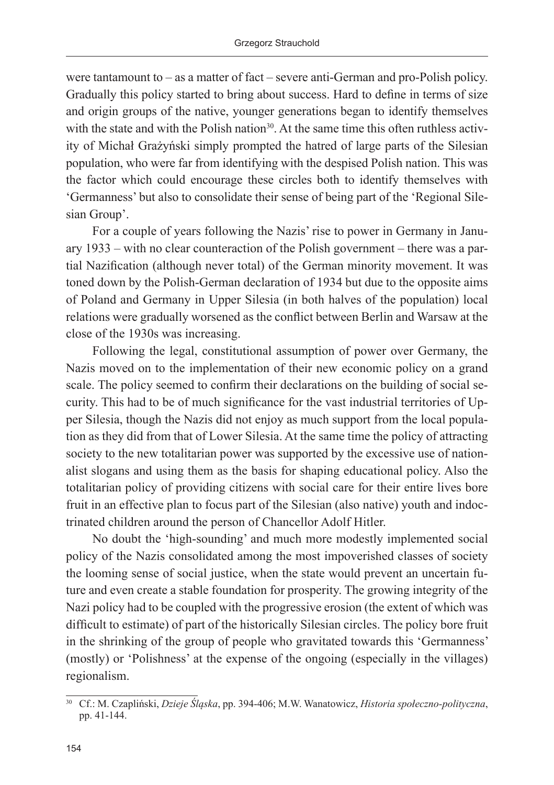were tantamount to – as a matter of fact – severe anti-German and pro-Polish policy. Gradually this policy started to bring about success. Hard to define in terms of size and origin groups of the native, younger generations began to identify themselves with the state and with the Polish nation<sup>30</sup>. At the same time this often ruthless activity of Michał Grażyński simply prompted the hatred of large parts of the Silesian population, who were far from identifying with the despised Polish nation. This was the factor which could encourage these circles both to identify themselves with 'Germanness' but also to consolidate their sense of being part of the 'Regional Silesian Group'.

For a couple of years following the Nazis' rise to power in Germany in January 1933 – with no clear counteraction of the Polish government – there was a partial Nazification (although never total) of the German minority movement. It was toned down by the Polish-German declaration of 1934 but due to the opposite aims of Poland and Germany in Upper Silesia (in both halves of the population) local relations were gradually worsened as the conflict between Berlin and Warsaw at the close of the 1930s was increasing.

Following the legal, constitutional assumption of power over Germany, the Nazis moved on to the implementation of their new economic policy on a grand scale. The policy seemed to confirm their declarations on the building of social security. This had to be of much significance for the vast industrial territories of Upper Silesia, though the Nazis did not enjoy as much support from the local population as they did from that of Lower Silesia. At the same time the policy of attracting society to the new totalitarian power was supported by the excessive use of nationalist slogans and using them as the basis for shaping educational policy. Also the totalitarian policy of providing citizens with social care for their entire lives bore fruit in an effective plan to focus part of the Silesian (also native) youth and indoctrinated children around the person of Chancellor Adolf Hitler.

No doubt the 'high-sounding' and much more modestly implemented social policy of the Nazis consolidated among the most impoverished classes of society the looming sense of social justice, when the state would prevent an uncertain future and even create a stable foundation for prosperity. The growing integrity of the Nazi policy had to be coupled with the progressive erosion (the extent of which was difficult to estimate) of part of the historically Silesian circles. The policy bore fruit in the shrinking of the group of people who gravitated towards this 'Germanness' (mostly) or 'Polishness' at the expense of the ongoing (especially in the villages) regionalism.

<sup>30</sup> Cf.: M. Czapliński, *Dzieje Śląska*, pp. 394-406; M.W. Wanatowicz, *Historia społeczno-polityczna*, pp. 41-144.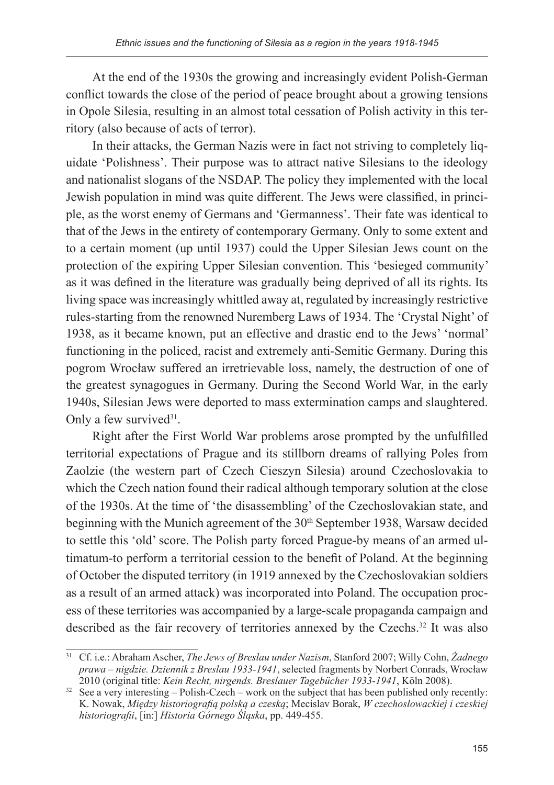At the end of the 1930s the growing and increasingly evident Polish-German conflict towards the close of the period of peace brought about a growing tensions in Opole Silesia, resulting in an almost total cessation of Polish activity in this territory (also because of acts of terror).

In their attacks, the German Nazis were in fact not striving to completely liquidate 'Polishness'. Their purpose was to attract native Silesians to the ideology and nationalist slogans of the NSDAP. The policy they implemented with the local Jewish population in mind was quite different. The Jews were classified, in principle, as the worst enemy of Germans and 'Germanness'. Their fate was identical to that of the Jews in the entirety of contemporary Germany. Only to some extent and to a certain moment (up until 1937) could the Upper Silesian Jews count on the protection of the expiring Upper Silesian convention. This 'besieged community' as it was defined in the literature was gradually being deprived of all its rights. Its living space was increasingly whittled away at, regulated by increasingly restrictive rules-starting from the renowned Nuremberg Laws of 1934. The 'Crystal Night' of 1938, as it became known, put an effective and drastic end to the Jews' 'normal' functioning in the policed, racist and extremely anti-Semitic Germany. During this pogrom Wrocław suffered an irretrievable loss, namely, the destruction of one of the greatest synagogues in Germany. During the Second World War, in the early 1940s, Silesian Jews were deported to mass extermination camps and slaughtered. Only a few survived $31$ .

Right after the First World War problems arose prompted by the unfulfilled territorial expectations of Prague and its stillborn dreams of rallying Poles from Zaolzie (the western part of Czech Cieszyn Silesia) around Czechoslovakia to which the Czech nation found their radical although temporary solution at the close of the 1930s. At the time of 'the disassembling' of the Czechoslovakian state, and beginning with the Munich agreement of the 30<sup>th</sup> September 1938, Warsaw decided to settle this 'old' score. The Polish party forced Prague-by means of an armed ultimatum-to perform a territorial cession to the benefit of Poland. At the beginning of October the disputed territory (in 1919 annexed by the Czechoslovakian soldiers as a result of an armed attack) was incorporated into Poland. The occupation process of these territories was accompanied by a large-scale propaganda campaign and described as the fair recovery of territories annexed by the Czechs.<sup>32</sup> It was also

<sup>31</sup> Cf. i.e.: Abraham Ascher, *The Jews of Breslau under Nazism*, Stanford 2007; Willy Cohn, *Żadnego prawa – nigdzie. Dziennik z Breslau 1933-1941*, selected fragments by Norbert Conrads, Wrocław 2010 (original title: *Kein Recht, nirgends. Breslauer Tagebücher 1933-1941*, Köln 2008).

<sup>&</sup>lt;sup>32</sup> See a very interesting – Polish-Czech – work on the subject that has been published only recently: K. Nowak, *Między historiografią polską a czeską*; Mecislav Borak, *W czechosłowackiej i czeskiej historiografii*, [in:] *Historia Górnego Śląska*, pp. 449-455.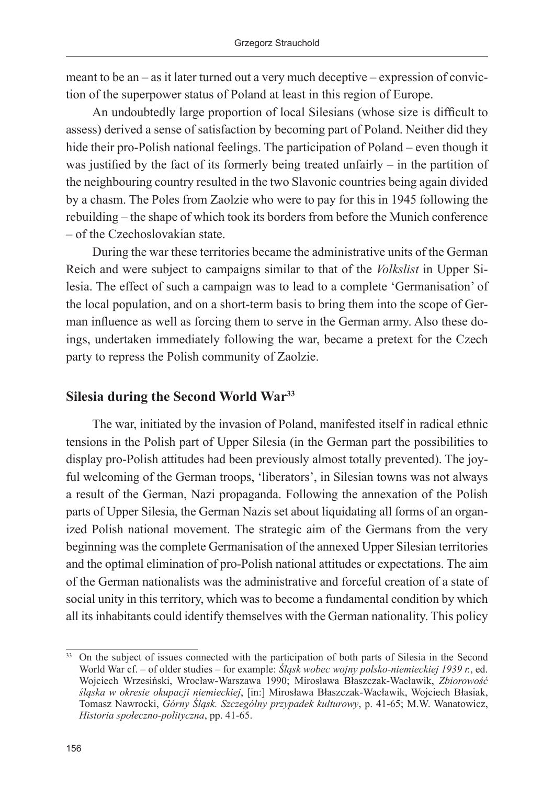meant to be an – as it later turned out a very much deceptive – expression of conviction of the superpower status of Poland at least in this region of Europe.

An undoubtedly large proportion of local Silesians (whose size is difficult to assess) derived a sense of satisfaction by becoming part of Poland. Neither did they hide their pro-Polish national feelings. The participation of Poland – even though it was justified by the fact of its formerly being treated unfairly – in the partition of the neighbouring country resulted in the two Slavonic countries being again divided by a chasm. The Poles from Zaolzie who were to pay for this in 1945 following the rebuilding – the shape of which took its borders from before the Munich conference – of the Czechoslovakian state.

During the war these territories became the administrative units of the German Reich and were subject to campaigns similar to that of the *Volkslist* in Upper Silesia. The effect of such a campaign was to lead to a complete 'Germanisation' of the local population, and on a short-term basis to bring them into the scope of German influence as well as forcing them to serve in the German army. Also these doings, undertaken immediately following the war, became a pretext for the Czech party to repress the Polish community of Zaolzie.

## **Silesia during the Second World War33**

The war, initiated by the invasion of Poland, manifested itself in radical ethnic tensions in the Polish part of Upper Silesia (in the German part the possibilities to display pro-Polish attitudes had been previously almost totally prevented). The joyful welcoming of the German troops, 'liberators', in Silesian towns was not always a result of the German, Nazi propaganda. Following the annexation of the Polish parts of Upper Silesia, the German Nazis set about liquidating all forms of an organized Polish national movement. The strategic aim of the Germans from the very beginning was the complete Germanisation of the annexed Upper Silesian territories and the optimal elimination of pro-Polish national attitudes or expectations. The aim of the German nationalists was the administrative and forceful creation of a state of social unity in this territory, which was to become a fundamental condition by which all its inhabitants could identify themselves with the German nationality. This policy

<sup>&</sup>lt;sup>33</sup> On the subject of issues connected with the participation of both parts of Silesia in the Second World War cf. – of older studies – for example: *Śląsk wobec wojny polsko-niemieckiej 1939 r.*, ed. Wojciech Wrzesiński, Wrocław-Warszawa 1990; Mirosława Błaszczak-Wacławik, *Zbiorowość śląska w okresie okupacji niemieckiej*, [in:] Mirosława Błaszczak-Wacławik, Wojciech Błasiak, Tomasz Nawrocki, *Górny Śląsk. Szczególny przypadek kulturowy*, p. 41-65; M.W. Wanatowicz, *Historia społeczno-polityczna*, pp. 41-65.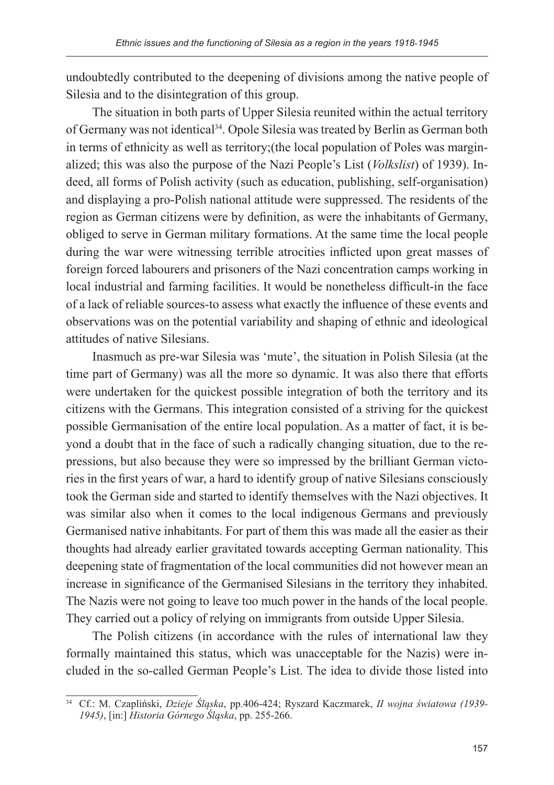undoubtedly contributed to the deepening of divisions among the native people of Silesia and to the disintegration of this group.

The situation in both parts of Upper Silesia reunited within the actual territory of Germany was not identical34. Opole Silesia was treated by Berlin as German both in terms of ethnicity as well as territory;(the local population of Poles was marginalized; this was also the purpose of the Nazi People's List (*Volkslist*) of 1939). Indeed, all forms of Polish activity (such as education, publishing, self-organisation) and displaying a pro-Polish national attitude were suppressed. The residents of the region as German citizens were by definition, as were the inhabitants of Germany, obliged to serve in German military formations. At the same time the local people during the war were witnessing terrible atrocities inflicted upon great masses of foreign forced labourers and prisoners of the Nazi concentration camps working in local industrial and farming facilities. It would be nonetheless difficult-in the face of a lack of reliable sources-to assess what exactly the influence of these events and observations was on the potential variability and shaping of ethnic and ideological attitudes of native Silesians.

Inasmuch as pre-war Silesia was 'mute', the situation in Polish Silesia (at the time part of Germany) was all the more so dynamic. It was also there that efforts were undertaken for the quickest possible integration of both the territory and its citizens with the Germans. This integration consisted of a striving for the quickest possible Germanisation of the entire local population. As a matter of fact, it is beyond a doubt that in the face of such a radically changing situation, due to the repressions, but also because they were so impressed by the brilliant German victories in the first years of war, a hard to identify group of native Silesians consciously took the German side and started to identify themselves with the Nazi objectives. It was similar also when it comes to the local indigenous Germans and previously Germanised native inhabitants. For part of them this was made all the easier as their thoughts had already earlier gravitated towards accepting German nationality. This deepening state of fragmentation of the local communities did not however mean an increase in significance of the Germanised Silesians in the territory they inhabited. The Nazis were not going to leave too much power in the hands of the local people. They carried out a policy of relying on immigrants from outside Upper Silesia.

The Polish citizens (in accordance with the rules of international law they formally maintained this status, which was unacceptable for the Nazis) were included in the so-called German People's List. The idea to divide those listed into

<sup>34</sup> Cf.: M. Czapliński, *Dzieje Śląska*, pp.406-424; Ryszard Kaczmarek, *II wojna światowa (1939- 1945)*, [in:] *Historia Górnego Śląska*, pp. 255-266.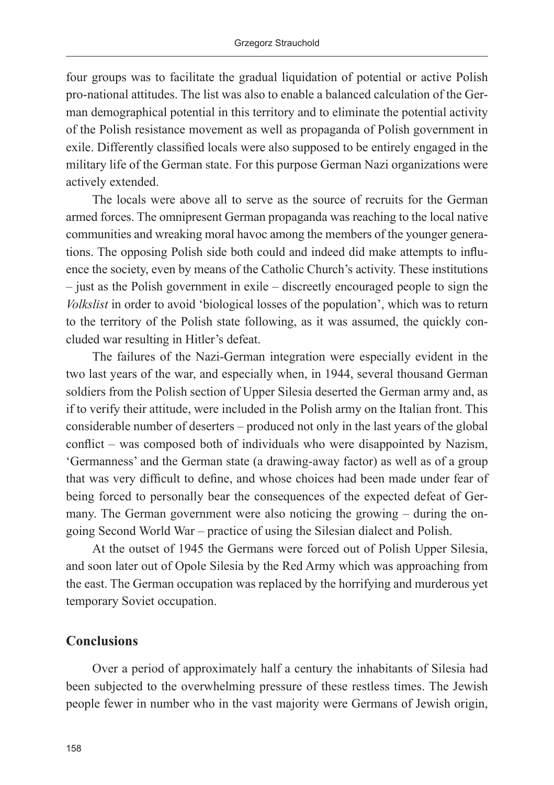four groups was to facilitate the gradual liquidation of potential or active Polish pro-national attitudes. The list was also to enable a balanced calculation of the German demographical potential in this territory and to eliminate the potential activity of the Polish resistance movement as well as propaganda of Polish government in exile. Differently classified locals were also supposed to be entirely engaged in the military life of the German state. For this purpose German Nazi organizations were actively extended.

The locals were above all to serve as the source of recruits for the German armed forces. The omnipresent German propaganda was reaching to the local native communities and wreaking moral havoc among the members of the younger generations. The opposing Polish side both could and indeed did make attempts to influence the society, even by means of the Catholic Church's activity. These institutions – just as the Polish government in exile – discreetly encouraged people to sign the *Volkslist* in order to avoid 'biological losses of the population', which was to return to the territory of the Polish state following, as it was assumed, the quickly concluded war resulting in Hitler's defeat.

The failures of the Nazi-German integration were especially evident in the two last years of the war, and especially when, in 1944, several thousand German soldiers from the Polish section of Upper Silesia deserted the German army and, as if to verify their attitude, were included in the Polish army on the Italian front. This considerable number of deserters – produced not only in the last years of the global conflict – was composed both of individuals who were disappointed by Nazism, 'Germanness' and the German state (a drawing-away factor) as well as of a group that was very difficult to define, and whose choices had been made under fear of being forced to personally bear the consequences of the expected defeat of Germany. The German government were also noticing the growing – during the ongoing Second World War – practice of using the Silesian dialect and Polish.

At the outset of 1945 the Germans were forced out of Polish Upper Silesia, and soon later out of Opole Silesia by the Red Army which was approaching from the east. The German occupation was replaced by the horrifying and murderous yet temporary Soviet occupation.

### **Conclusions**

Over a period of approximately half a century the inhabitants of Silesia had been subjected to the overwhelming pressure of these restless times. The Jewish people fewer in number who in the vast majority were Germans of Jewish origin,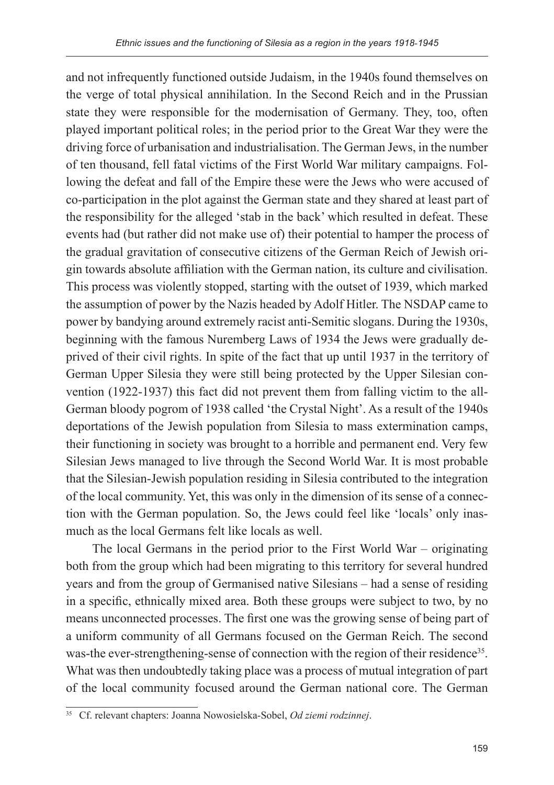and not infrequently functioned outside Judaism, in the 1940s found themselves on the verge of total physical annihilation. In the Second Reich and in the Prussian state they were responsible for the modernisation of Germany. They, too, often played important political roles; in the period prior to the Great War they were the driving force of urbanisation and industrialisation. The German Jews, in the number of ten thousand, fell fatal victims of the First World War military campaigns. Following the defeat and fall of the Empire these were the Jews who were accused of co-participation in the plot against the German state and they shared at least part of the responsibility for the alleged 'stab in the back' which resulted in defeat. These events had (but rather did not make use of) their potential to hamper the process of the gradual gravitation of consecutive citizens of the German Reich of Jewish origin towards absolute affiliation with the German nation, its culture and civilisation. This process was violently stopped, starting with the outset of 1939, which marked the assumption of power by the Nazis headed by Adolf Hitler. The NSDAP came to power by bandying around extremely racist anti-Semitic slogans. During the 1930s, beginning with the famous Nuremberg Laws of 1934 the Jews were gradually deprived of their civil rights. In spite of the fact that up until 1937 in the territory of German Upper Silesia they were still being protected by the Upper Silesian convention (1922-1937) this fact did not prevent them from falling victim to the all-German bloody pogrom of 1938 called 'the Crystal Night'. As a result of the 1940s deportations of the Jewish population from Silesia to mass extermination camps, their functioning in society was brought to a horrible and permanent end. Very few Silesian Jews managed to live through the Second World War. It is most probable that the Silesian-Jewish population residing in Silesia contributed to the integration of the local community. Yet, this was only in the dimension of its sense of a connection with the German population. So, the Jews could feel like 'locals' only inasmuch as the local Germans felt like locals as well.

The local Germans in the period prior to the First World War – originating both from the group which had been migrating to this territory for several hundred years and from the group of Germanised native Silesians – had a sense of residing in a specific, ethnically mixed area. Both these groups were subject to two, by no means unconnected processes. The first one was the growing sense of being part of a uniform community of all Germans focused on the German Reich. The second was-the ever-strengthening-sense of connection with the region of their residence<sup>35</sup>. What was then undoubtedly taking place was a process of mutual integration of part of the local community focused around the German national core. The German

<sup>35</sup> Cf. relevant chapters: Joanna Nowosielska-Sobel, *Od ziemi rodzinnej*.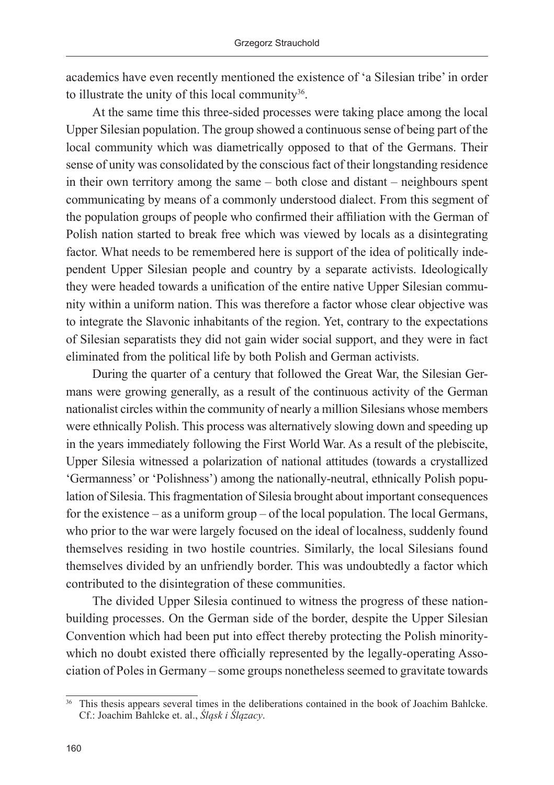academics have even recently mentioned the existence of 'a Silesian tribe' in order to illustrate the unity of this local community<sup>36</sup>.

At the same time this three-sided processes were taking place among the local Upper Silesian population. The group showed a continuous sense of being part of the local community which was diametrically opposed to that of the Germans. Their sense of unity was consolidated by the conscious fact of their longstanding residence in their own territory among the same – both close and distant – neighbours spent communicating by means of a commonly understood dialect. From this segment of the population groups of people who confirmed their affiliation with the German of Polish nation started to break free which was viewed by locals as a disintegrating factor. What needs to be remembered here is support of the idea of politically independent Upper Silesian people and country by a separate activists. Ideologically they were headed towards a unification of the entire native Upper Silesian community within a uniform nation. This was therefore a factor whose clear objective was to integrate the Slavonic inhabitants of the region. Yet, contrary to the expectations of Silesian separatists they did not gain wider social support, and they were in fact eliminated from the political life by both Polish and German activists.

During the quarter of a century that followed the Great War, the Silesian Germans were growing generally, as a result of the continuous activity of the German nationalist circles within the community of nearly a million Silesians whose members were ethnically Polish. This process was alternatively slowing down and speeding up in the years immediately following the First World War. As a result of the plebiscite, Upper Silesia witnessed a polarization of national attitudes (towards a crystallized 'Germanness' or 'Polishness') among the nationally-neutral, ethnically Polish population of Silesia. This fragmentation of Silesia brought about important consequences for the existence – as a uniform group – of the local population. The local Germans, who prior to the war were largely focused on the ideal of localness, suddenly found themselves residing in two hostile countries. Similarly, the local Silesians found themselves divided by an unfriendly border. This was undoubtedly a factor which contributed to the disintegration of these communities.

The divided Upper Silesia continued to witness the progress of these nationbuilding processes. On the German side of the border, despite the Upper Silesian Convention which had been put into effect thereby protecting the Polish minoritywhich no doubt existed there officially represented by the legally-operating Association of Poles in Germany – some groups nonetheless seemed to gravitate towards

<sup>&</sup>lt;sup>36</sup> This thesis appears several times in the deliberations contained in the book of Joachim Bahlcke. Cf.: Joachim Bahlcke et. al., *Śląsk i Ślązacy*.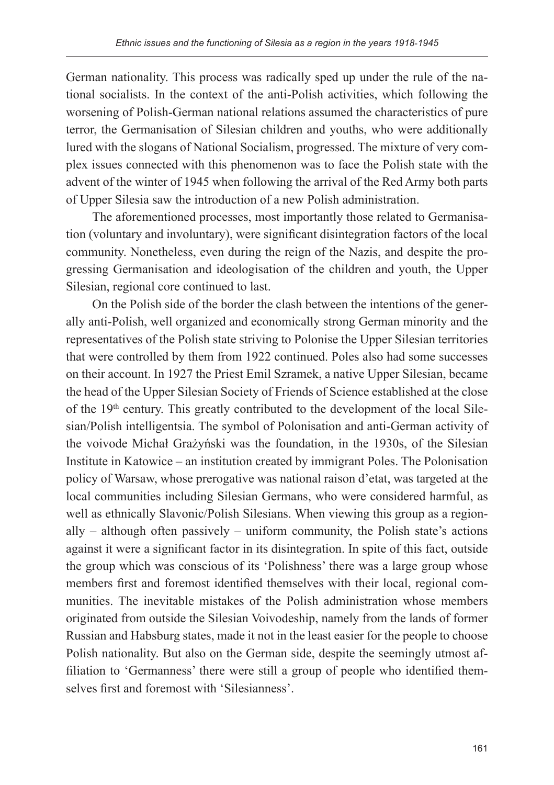German nationality. This process was radically sped up under the rule of the national socialists. In the context of the anti-Polish activities, which following the worsening of Polish-German national relations assumed the characteristics of pure terror, the Germanisation of Silesian children and youths, who were additionally lured with the slogans of National Socialism, progressed. The mixture of very complex issues connected with this phenomenon was to face the Polish state with the advent of the winter of 1945 when following the arrival of the Red Army both parts of Upper Silesia saw the introduction of a new Polish administration.

The aforementioned processes, most importantly those related to Germanisation (voluntary and involuntary), were significant disintegration factors of the local community. Nonetheless, even during the reign of the Nazis, and despite the progressing Germanisation and ideologisation of the children and youth, the Upper Silesian, regional core continued to last.

On the Polish side of the border the clash between the intentions of the generally anti-Polish, well organized and economically strong German minority and the representatives of the Polish state striving to Polonise the Upper Silesian territories that were controlled by them from 1922 continued. Poles also had some successes on their account. In 1927 the Priest Emil Szramek, a native Upper Silesian, became the head of the Upper Silesian Society of Friends of Science established at the close of the 19th century. This greatly contributed to the development of the local Silesian/Polish intelligentsia. The symbol of Polonisation and anti-German activity of the voivode Michał Grażyński was the foundation, in the 1930s, of the Silesian Institute in Katowice – an institution created by immigrant Poles. The Polonisation policy of Warsaw, whose prerogative was national raison d'etat, was targeted at the local communities including Silesian Germans, who were considered harmful, as well as ethnically Slavonic/Polish Silesians. When viewing this group as a regionally – although often passively – uniform community, the Polish state's actions against it were a significant factor in its disintegration. In spite of this fact, outside the group which was conscious of its 'Polishness' there was a large group whose members first and foremost identified themselves with their local, regional communities. The inevitable mistakes of the Polish administration whose members originated from outside the Silesian Voivodeship, namely from the lands of former Russian and Habsburg states, made it not in the least easier for the people to choose Polish nationality. But also on the German side, despite the seemingly utmost affiliation to 'Germanness' there were still a group of people who identified themselves first and foremost with 'Silesianness'.